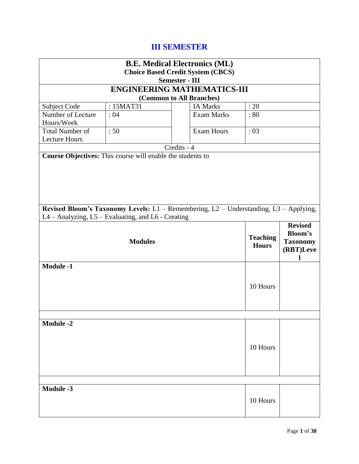# **III SEMESTER**

|                                                | <b>B.E. Medical Electronics (ML)</b>                                                                                                        |                       |                                          |      |  |  |
|------------------------------------------------|---------------------------------------------------------------------------------------------------------------------------------------------|-----------------------|------------------------------------------|------|--|--|
|                                                |                                                                                                                                             |                       | <b>Choice Based Credit System (CBCS)</b> |      |  |  |
|                                                |                                                                                                                                             | <b>Semester - III</b> |                                          |      |  |  |
|                                                | <b>ENGINEERING MATHEMATICS-III</b>                                                                                                          |                       |                                          |      |  |  |
|                                                |                                                                                                                                             |                       | (Common to All Branches)                 |      |  |  |
| Subject Code                                   | : 15MAT31                                                                                                                                   |                       | <b>IA Marks</b>                          | : 20 |  |  |
| Number of Lecture<br>Hours/Week                | :04                                                                                                                                         |                       | <b>Exam Marks</b>                        | :80  |  |  |
| <b>Total Number of</b><br><b>Lecture Hours</b> | :50                                                                                                                                         |                       | <b>Exam Hours</b>                        | :03  |  |  |
|                                                |                                                                                                                                             | Credits - 4           |                                          |      |  |  |
|                                                | Course Objectives: This course will enable the students to                                                                                  |                       |                                          |      |  |  |
|                                                |                                                                                                                                             |                       |                                          |      |  |  |
|                                                | Revised Bloom's Taxonomy Levels: L1 - Remembering, L2 - Understanding, L3 - Applying,<br>L4 - Analyzing, L5 - Evaluating, and L6 - Creating |                       |                                          |      |  |  |
|                                                | <b>Revised</b><br><b>Bloom's</b><br><b>Teaching</b><br><b>Modules</b><br><b>Taxonomy</b><br><b>Hours</b><br>(RBT)Leve                       |                       |                                          |      |  |  |
| <b>Module -1</b>                               | 10 Hours                                                                                                                                    |                       |                                          |      |  |  |
|                                                |                                                                                                                                             |                       |                                          |      |  |  |
| <b>Module -2</b><br>10 Hours                   |                                                                                                                                             |                       |                                          |      |  |  |
|                                                |                                                                                                                                             |                       |                                          |      |  |  |
| <b>Module -3</b><br>10 Hours                   |                                                                                                                                             |                       |                                          |      |  |  |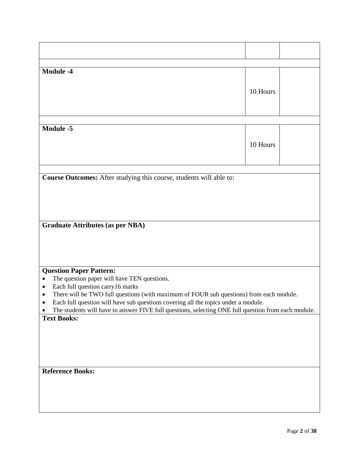| <b>Module -4</b>                                                                                                                                                                                                                                                                                                                                                                                                                          | 10 Hours |  |
|-------------------------------------------------------------------------------------------------------------------------------------------------------------------------------------------------------------------------------------------------------------------------------------------------------------------------------------------------------------------------------------------------------------------------------------------|----------|--|
| <b>Module -5</b>                                                                                                                                                                                                                                                                                                                                                                                                                          | 10 Hours |  |
| Course Outcomes: After studying this course, students will able to:                                                                                                                                                                                                                                                                                                                                                                       |          |  |
|                                                                                                                                                                                                                                                                                                                                                                                                                                           |          |  |
| <b>Graduate Attributes (as per NBA)</b>                                                                                                                                                                                                                                                                                                                                                                                                   |          |  |
| <b>Question Paper Pattern:</b><br>The question paper will have TEN questions.<br>$\bullet$<br>Each full question carry 16 marks<br>$\bullet$<br>There will be TWO full questions (with maximum of FOUR sub questions) from each module.<br>Each full question will have sub questions covering all the topics under a module.<br>The students will have to answer FIVE full questions, selecting ONE full question from each module.<br>٠ |          |  |
| <b>Text Books:</b>                                                                                                                                                                                                                                                                                                                                                                                                                        |          |  |
| <b>Reference Books:</b>                                                                                                                                                                                                                                                                                                                                                                                                                   |          |  |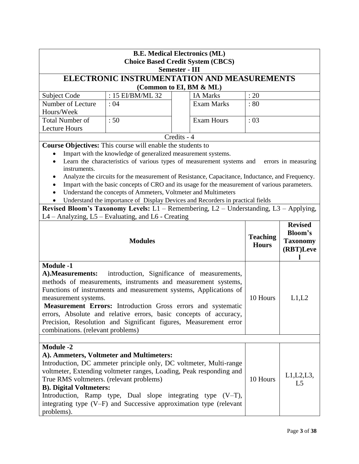| <b>B.E. Medical Electronics (ML)</b><br><b>Choice Based Credit System (CBCS)</b><br><b>Semester - III</b>                                                                                                                                                                                                                                                                                                                                                                                                                    |                                                                   |                                                                                                                                                                                                                                                                                   |          |                                                           |  |
|------------------------------------------------------------------------------------------------------------------------------------------------------------------------------------------------------------------------------------------------------------------------------------------------------------------------------------------------------------------------------------------------------------------------------------------------------------------------------------------------------------------------------|-------------------------------------------------------------------|-----------------------------------------------------------------------------------------------------------------------------------------------------------------------------------------------------------------------------------------------------------------------------------|----------|-----------------------------------------------------------|--|
|                                                                                                                                                                                                                                                                                                                                                                                                                                                                                                                              |                                                                   | ELECTRONIC INSTRUMENTATION AND MEASUREMENTS                                                                                                                                                                                                                                       |          |                                                           |  |
|                                                                                                                                                                                                                                                                                                                                                                                                                                                                                                                              |                                                                   | (Common to EI, BM & ML)                                                                                                                                                                                                                                                           |          |                                                           |  |
| Subject Code                                                                                                                                                                                                                                                                                                                                                                                                                                                                                                                 | : 15 EI/BM/ML 32                                                  | <b>IA Marks</b>                                                                                                                                                                                                                                                                   | : 20     |                                                           |  |
| Number of Lecture<br>Hours/Week                                                                                                                                                                                                                                                                                                                                                                                                                                                                                              | <b>Exam Marks</b><br>: 80<br>:04                                  |                                                                                                                                                                                                                                                                                   |          |                                                           |  |
| <b>Total Number of</b>                                                                                                                                                                                                                                                                                                                                                                                                                                                                                                       | :50                                                               | <b>Exam Hours</b>                                                                                                                                                                                                                                                                 | : 03     |                                                           |  |
| <b>Lecture Hours</b>                                                                                                                                                                                                                                                                                                                                                                                                                                                                                                         |                                                                   |                                                                                                                                                                                                                                                                                   |          |                                                           |  |
|                                                                                                                                                                                                                                                                                                                                                                                                                                                                                                                              |                                                                   | Credits - 4                                                                                                                                                                                                                                                                       |          |                                                           |  |
|                                                                                                                                                                                                                                                                                                                                                                                                                                                                                                                              | <b>Course Objectives:</b> This course will enable the students to |                                                                                                                                                                                                                                                                                   |          |                                                           |  |
|                                                                                                                                                                                                                                                                                                                                                                                                                                                                                                                              | Impart with the knowledge of generalized measurement systems.     |                                                                                                                                                                                                                                                                                   |          |                                                           |  |
| $\bullet$                                                                                                                                                                                                                                                                                                                                                                                                                                                                                                                    |                                                                   | Learn the characteristics of various types of measurement systems and                                                                                                                                                                                                             |          | errors in measuring                                       |  |
| instruments.                                                                                                                                                                                                                                                                                                                                                                                                                                                                                                                 |                                                                   |                                                                                                                                                                                                                                                                                   |          |                                                           |  |
|                                                                                                                                                                                                                                                                                                                                                                                                                                                                                                                              |                                                                   | Analyze the circuits for the measurement of Resistance, Capacitance, Inductance, and Frequency.                                                                                                                                                                                   |          |                                                           |  |
|                                                                                                                                                                                                                                                                                                                                                                                                                                                                                                                              |                                                                   | Impart with the basic concepts of CRO and its usage for the measurement of various parameters.                                                                                                                                                                                    |          |                                                           |  |
|                                                                                                                                                                                                                                                                                                                                                                                                                                                                                                                              | Understand the concepts of Ammeters, Voltmeter and Multimeters    |                                                                                                                                                                                                                                                                                   |          |                                                           |  |
|                                                                                                                                                                                                                                                                                                                                                                                                                                                                                                                              |                                                                   | Understand the importance of Display Devices and Recorders in practical fields                                                                                                                                                                                                    |          |                                                           |  |
|                                                                                                                                                                                                                                                                                                                                                                                                                                                                                                                              |                                                                   | Revised Bloom's Taxonomy Levels: L1 - Remembering, L2 - Understanding, L3 - Applying,                                                                                                                                                                                             |          |                                                           |  |
|                                                                                                                                                                                                                                                                                                                                                                                                                                                                                                                              | L4 – Analyzing, L5 – Evaluating, and L6 - Creating                |                                                                                                                                                                                                                                                                                   |          |                                                           |  |
| <b>Modules</b>                                                                                                                                                                                                                                                                                                                                                                                                                                                                                                               |                                                                   |                                                                                                                                                                                                                                                                                   |          | <b>Revised</b><br>Bloom's<br><b>Taxonomy</b><br>(RBT)Leve |  |
| <b>Module -1</b><br>introduction, Significance of measurements,<br>A). Measurements:<br>methods of measurements, instruments and measurement systems,<br>Functions of instruments and measurement systems, Applications of<br>10 Hours<br>L1,L2<br>measurement systems.<br><b>Measurement Errors:</b> Introduction Gross errors and systematic<br>errors, Absolute and relative errors, basic concepts of accuracy,<br>Precision, Resolution and Significant figures, Measurement error<br>combinations. (relevant problems) |                                                                   |                                                                                                                                                                                                                                                                                   |          |                                                           |  |
|                                                                                                                                                                                                                                                                                                                                                                                                                                                                                                                              |                                                                   |                                                                                                                                                                                                                                                                                   |          |                                                           |  |
| <b>Module -2</b><br>True RMS voltmeters. (relevant problems)<br><b>B). Digital Voltmeters:</b><br>problems).                                                                                                                                                                                                                                                                                                                                                                                                                 | A). Ammeters, Voltmeter and Multimeters:                          | Introduction, DC ammeter principle only, DC voltmeter, Multi-range<br>voltmeter, Extending voltmeter ranges, Loading, Peak responding and<br>Introduction, Ramp type, Dual slope integrating type $(V-T)$ ,<br>integrating type (V-F) and Successive approximation type (relevant | 10 Hours | L1, L2, L3,<br>L <sub>5</sub>                             |  |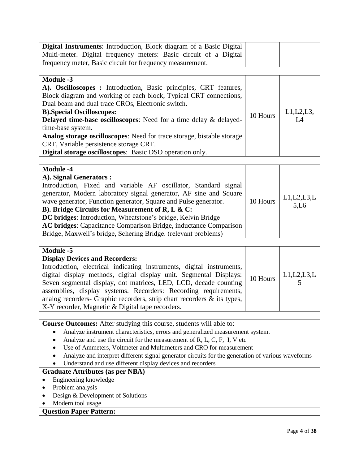| Digital Instruments: Introduction, Block diagram of a Basic Digital                                              |          |               |
|------------------------------------------------------------------------------------------------------------------|----------|---------------|
| Multi-meter. Digital frequency meters: Basic circuit of a Digital                                                |          |               |
| frequency meter, Basic circuit for frequency measurement.                                                        |          |               |
|                                                                                                                  |          |               |
| <b>Module -3</b>                                                                                                 |          |               |
| A). Oscilloscopes : Introduction, Basic principles, CRT features,                                                |          |               |
| Block diagram and working of each block, Typical CRT connections,                                                |          |               |
| Dual beam and dual trace CROs, Electronic switch.                                                                |          |               |
| <b>B).Special Oscilloscopes:</b>                                                                                 | 10 Hours | $L1,L2,L3$ ,  |
| Delayed time-base oscilloscopes: Need for a time delay & delayed-                                                |          | L4            |
| time-base system.                                                                                                |          |               |
| Analog storage oscilloscopes: Need for trace storage, bistable storage<br>CRT, Variable persistence storage CRT. |          |               |
| Digital storage oscilloscopes: Basic DSO operation only.                                                         |          |               |
|                                                                                                                  |          |               |
| <b>Module -4</b>                                                                                                 |          |               |
| A). Signal Generators :                                                                                          |          |               |
| Introduction, Fixed and variable AF oscillator, Standard signal                                                  |          |               |
| generator, Modern laboratory signal generator, AF sine and Square                                                |          |               |
| wave generator, Function generator, Square and Pulse generator.                                                  | 10 Hours | L1, L2, L3, L |
| B). Bridge Circuits for Measurement of R, L & C:                                                                 |          | 5,L6          |
| DC bridges: Introduction, Wheatstone's bridge, Kelvin Bridge                                                     |          |               |
| AC bridges: Capacitance Comparison Bridge, inductance Comparison                                                 |          |               |
| Bridge, Maxwell's bridge, Schering Bridge. (relevant problems)                                                   |          |               |
|                                                                                                                  |          |               |
| <b>Module -5</b>                                                                                                 |          |               |
| <b>Display Devices and Recorders:</b>                                                                            |          |               |
| Introduction, electrical indicating instruments, digital instruments,                                            |          |               |
| digital display methods, digital display unit. Segmental Displays:                                               | 10 Hours | L1, L2, L3, L |
| Seven segmental display, dot matrices, LED, LCD, decade counting                                                 |          | 5             |
| assemblies, display systems. Recorders: Recording requirements,                                                  |          |               |
| analog recorders- Graphic recorders, strip chart recorders & its types,                                          |          |               |
| X-Y recorder, Magnetic & Digital tape recorders.                                                                 |          |               |
| <b>Course Outcomes:</b> After studying this course, students will able to:                                       |          |               |
| Analyze instrument characteristics, errors and generalized measurement system.                                   |          |               |
| Analyze and use the circuit for the measurement of R, L, C, F, I, V etc                                          |          |               |
| Use of Ammeters, Voltmeter and Multimeters and CRO for measurement                                               |          |               |
| Analyze and interpret different signal generator circuits for the generation of various waveforms                |          |               |
| Understand and use different display devices and recorders                                                       |          |               |
| <b>Graduate Attributes (as per NBA)</b>                                                                          |          |               |
| Engineering knowledge                                                                                            |          |               |
| Problem analysis                                                                                                 |          |               |
| Design & Development of Solutions                                                                                |          |               |
| Modern tool usage                                                                                                |          |               |
| <b>Question Paper Pattern:</b>                                                                                   |          |               |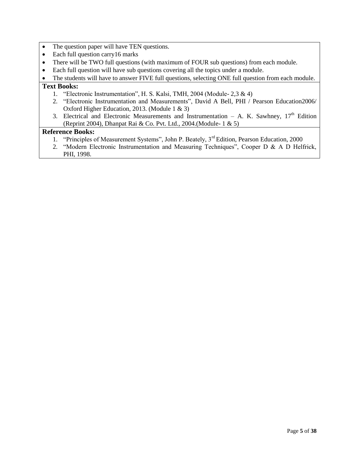- The question paper will have TEN questions.
- Each full question carry 16 marks
- There will be TWO full questions (with maximum of FOUR sub questions) from each module.
- Each full question will have sub questions covering all the topics under a module.
- The students will have to answer FIVE full questions, selecting ONE full question from each module.

### **Text Books:**

- 1. "Electronic Instrumentation", H. S. Kalsi, TMH, 2004 (Module- 2,3 & 4)
- 2. "Electronic Instrumentation and Measurements", David A Bell, PHI / Pearson Education2006/ Oxford Higher Education, 2013. (Module 1 & 3)
- 3. Electrical and Electronic Measurements and Instrumentation A. K. Sawhney,  $17<sup>th</sup>$  Edition (Reprint 2004), Dhanpat Rai & Co. Pvt. Ltd., 2004.(Module- 1 & 5)

- 1. "Principles of Measurement Systems", John P. Beately, 3<sup>rd</sup> Edition, Pearson Education, 2000
- 2. "Modern Electronic Instrumentation and Measuring Techniques", Cooper D & A D Helfrick, PHI, 1998.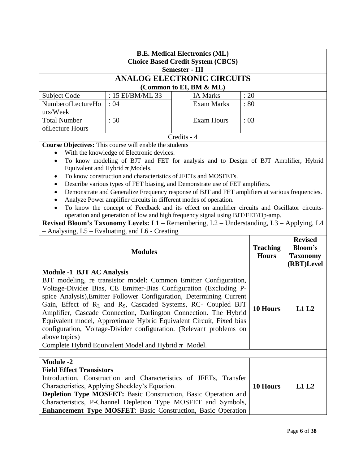| <b>B.E. Medical Electronics (ML)</b><br><b>Choice Based Credit System (CBCS)</b><br><b>Semester - III</b>                                                                                                                                                                                                                                                                                                                                                                                                                                                                                 |                                                                                                                                                                                                                                                                                                                                      |             |                   |                 |                                 |                                                            |
|-------------------------------------------------------------------------------------------------------------------------------------------------------------------------------------------------------------------------------------------------------------------------------------------------------------------------------------------------------------------------------------------------------------------------------------------------------------------------------------------------------------------------------------------------------------------------------------------|--------------------------------------------------------------------------------------------------------------------------------------------------------------------------------------------------------------------------------------------------------------------------------------------------------------------------------------|-------------|-------------------|-----------------|---------------------------------|------------------------------------------------------------|
|                                                                                                                                                                                                                                                                                                                                                                                                                                                                                                                                                                                           | <b>ANALOG ELECTRONIC CIRCUITS</b>                                                                                                                                                                                                                                                                                                    |             |                   |                 |                                 |                                                            |
|                                                                                                                                                                                                                                                                                                                                                                                                                                                                                                                                                                                           |                                                                                                                                                                                                                                                                                                                                      |             |                   |                 |                                 |                                                            |
| (Common to EI, BM & ML)<br>: 15 EI/BM/ML 33<br>Subject Code<br><b>IA Marks</b><br>: 20                                                                                                                                                                                                                                                                                                                                                                                                                                                                                                    |                                                                                                                                                                                                                                                                                                                                      |             |                   |                 |                                 |                                                            |
| NumberofLectureHo                                                                                                                                                                                                                                                                                                                                                                                                                                                                                                                                                                         | :04                                                                                                                                                                                                                                                                                                                                  |             | <b>Exam Marks</b> | :80             |                                 |                                                            |
| urs/Week                                                                                                                                                                                                                                                                                                                                                                                                                                                                                                                                                                                  |                                                                                                                                                                                                                                                                                                                                      |             |                   |                 |                                 |                                                            |
| <b>Total Number</b>                                                                                                                                                                                                                                                                                                                                                                                                                                                                                                                                                                       | : 50                                                                                                                                                                                                                                                                                                                                 |             | <b>Exam Hours</b> | :03             |                                 |                                                            |
| ofLecture Hours                                                                                                                                                                                                                                                                                                                                                                                                                                                                                                                                                                           |                                                                                                                                                                                                                                                                                                                                      |             |                   |                 |                                 |                                                            |
|                                                                                                                                                                                                                                                                                                                                                                                                                                                                                                                                                                                           |                                                                                                                                                                                                                                                                                                                                      | Credits - 4 |                   |                 |                                 |                                                            |
|                                                                                                                                                                                                                                                                                                                                                                                                                                                                                                                                                                                           | Course Objectives: This course will enable the students                                                                                                                                                                                                                                                                              |             |                   |                 |                                 |                                                            |
|                                                                                                                                                                                                                                                                                                                                                                                                                                                                                                                                                                                           | With the knowledge of Electronic devices.                                                                                                                                                                                                                                                                                            |             |                   |                 |                                 |                                                            |
| $\bullet$                                                                                                                                                                                                                                                                                                                                                                                                                                                                                                                                                                                 | To know modeling of BJT and FET for analysis and to Design of BJT Amplifier, Hybrid<br>Equivalent and Hybrid $\pi$ Models.                                                                                                                                                                                                           |             |                   |                 |                                 |                                                            |
|                                                                                                                                                                                                                                                                                                                                                                                                                                                                                                                                                                                           | To know construction and characteristics of JFETs and MOSFETs.                                                                                                                                                                                                                                                                       |             |                   |                 |                                 |                                                            |
|                                                                                                                                                                                                                                                                                                                                                                                                                                                                                                                                                                                           | Describe various types of FET biasing, and Demonstrate use of FET amplifiers.                                                                                                                                                                                                                                                        |             |                   |                 |                                 |                                                            |
|                                                                                                                                                                                                                                                                                                                                                                                                                                                                                                                                                                                           | Demonstrate and Generalize Frequency response of BJT and FET amplifiers at various frequencies.                                                                                                                                                                                                                                      |             |                   |                 |                                 |                                                            |
|                                                                                                                                                                                                                                                                                                                                                                                                                                                                                                                                                                                           | Analyze Power amplifier circuits in different modes of operation.                                                                                                                                                                                                                                                                    |             |                   |                 |                                 |                                                            |
|                                                                                                                                                                                                                                                                                                                                                                                                                                                                                                                                                                                           | To know the concept of Feedback and its effect on amplifier circuits and Oscillator circuits-                                                                                                                                                                                                                                        |             |                   |                 |                                 |                                                            |
|                                                                                                                                                                                                                                                                                                                                                                                                                                                                                                                                                                                           | operation and generation of low and high frequency signal using BJT/FET/Op-amp.                                                                                                                                                                                                                                                      |             |                   |                 |                                 |                                                            |
|                                                                                                                                                                                                                                                                                                                                                                                                                                                                                                                                                                                           | Revised Bloom's Taxonomy Levels: L1 - Remembering, L2 - Understanding, L3 - Applying, L4                                                                                                                                                                                                                                             |             |                   |                 |                                 |                                                            |
|                                                                                                                                                                                                                                                                                                                                                                                                                                                                                                                                                                                           | - Analysing, L5 – Evaluating, and L6 - Creating                                                                                                                                                                                                                                                                                      |             |                   |                 |                                 |                                                            |
| <b>Modules</b>                                                                                                                                                                                                                                                                                                                                                                                                                                                                                                                                                                            |                                                                                                                                                                                                                                                                                                                                      |             |                   |                 | <b>Teaching</b><br><b>Hours</b> | <b>Revised</b><br>Bloom's<br><b>Taxonomy</b><br>(RBT)Level |
| <b>Module -1 BJT AC Analysis</b>                                                                                                                                                                                                                                                                                                                                                                                                                                                                                                                                                          |                                                                                                                                                                                                                                                                                                                                      |             |                   |                 |                                 |                                                            |
| BJT modeling, re transistor model: Common Emitter Configuration,<br>Voltage-Divider Bias, CE Emitter-Bias Configuration (Excluding P-<br>spice Analysis), Emitter Follower Configuration, Determining Current<br>Gain, Effect of RL and R <sub>S</sub> , Cascaded Systems, RC- Coupled BJT<br>Amplifier, Cascade Connection, Darlington Connection. The Hybrid<br>Equivalent model, Approximate Hybrid Equivalent Circuit, Fixed bias<br>configuration, Voltage-Divider configuration. (Relevant problems on<br>above topics)<br>Complete Hybrid Equivalent Model and Hybrid $\pi$ Model. |                                                                                                                                                                                                                                                                                                                                      |             |                   | <b>10 Hours</b> | L1L2                            |                                                            |
|                                                                                                                                                                                                                                                                                                                                                                                                                                                                                                                                                                                           |                                                                                                                                                                                                                                                                                                                                      |             |                   |                 |                                 |                                                            |
| <b>Module -2</b><br><b>Field Effect Transistors</b>                                                                                                                                                                                                                                                                                                                                                                                                                                                                                                                                       | Introduction, Construction and Characteristics of JFETs, Transfer<br>Characteristics, Applying Shockley's Equation.<br><b>Depletion Type MOSFET:</b> Basic Construction, Basic Operation and<br>Characteristics, P-Channel Depletion Type MOSFET and Symbols,<br><b>Enhancement Type MOSFET: Basic Construction, Basic Operation</b> |             |                   |                 | 10 Hours                        | L1L2                                                       |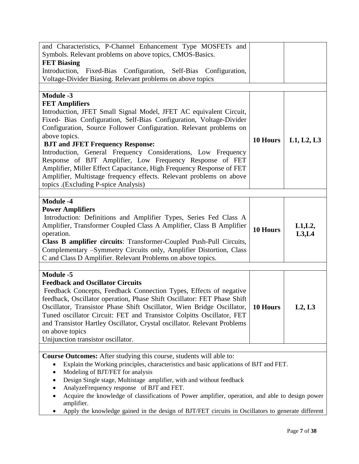| and Characteristics, P-Channel Enhancement Type MOSFETs and<br>Symbols. Relevant problems on above topics, CMOS-Basics.<br><b>FET Biasing</b><br>Introduction,<br>Fixed-Bias Configuration, Self-Bias Configuration,<br>Voltage-Divider Biasing. Relevant problems on above topics                                                                                                                                                                                                                                                                                                                                                           |          |                  |
|----------------------------------------------------------------------------------------------------------------------------------------------------------------------------------------------------------------------------------------------------------------------------------------------------------------------------------------------------------------------------------------------------------------------------------------------------------------------------------------------------------------------------------------------------------------------------------------------------------------------------------------------|----------|------------------|
|                                                                                                                                                                                                                                                                                                                                                                                                                                                                                                                                                                                                                                              |          |                  |
| <b>Module -3</b><br><b>FET Amplifiers</b><br>Introduction, JFET Small Signal Model, JFET AC equivalent Circuit,<br>Fixed- Bias Configuration, Self-Bias Configuration, Voltage-Divider<br>Configuration, Source Follower Configuration. Relevant problems on<br>above topics.<br><b>BJT and JFET Frequency Response:</b><br>Introduction, General Frequency Considerations, Low Frequency<br>Response of BJT Amplifier, Low Frequency Response of FET<br>Amplifier, Miller Effect Capacitance, High Frequency Response of FET<br>Amplifier, Multistage frequency effects. Relevant problems on above<br>topics .(Excluding P-spice Analysis) | 10 Hours | L1, L2, L3       |
| <b>Module -4</b><br><b>Power Amplifiers</b><br>Introduction: Definitions and Amplifier Types, Series Fed Class A<br>Amplifier, Transformer Coupled Class A Amplifier, Class B Amplifier<br>operation.<br>Class B amplifier circuits: Transformer-Coupled Push-Pull Circuits,<br>Complementary -Symmetry Circuits only, Amplifier Distortion, Class<br>C and Class D Amplifier. Relevant Problems on above topics.                                                                                                                                                                                                                            | 10 Hours | L1, L2,<br>L3,L4 |
|                                                                                                                                                                                                                                                                                                                                                                                                                                                                                                                                                                                                                                              |          |                  |
| <b>Module -5</b><br><b>Feedback and Oscillator Circuits</b><br>Feedback Concepts, Feedback Connection Types, Effects of negative<br>feedback, Oscillator operation, Phase Shift Oscillator: FET Phase Shift<br>Oscillator, Transistor Phase Shift Oscillator, Wien Bridge Oscillator,<br>Tuned oscillator Circuit: FET and Transistor Colpitts Oscillator, FET<br>and Transistor Hartley Oscillator, Crystal oscillator. Relevant Problems<br>on above topics<br>Unijunction transistor oscillator.                                                                                                                                          | 10 Hours | L2, L3           |
|                                                                                                                                                                                                                                                                                                                                                                                                                                                                                                                                                                                                                                              |          |                  |
| <b>Course Outcomes:</b> After studying this course, students will able to:<br>Explain the Working principles, characteristics and basic applications of BJT and FET.<br>Modeling of BJT/FET for analysis<br>Design Single stage, Multistage amplifier, with and without feedback<br>AnalyzeFrequency response of BJT and FET.<br>Acquire the knowledge of classifications of Power amplifier, operation, and able to design power<br>amplifier.<br>Apply the knowledge gained in the design of BJT/FET circuits in Oscillators to generate different                                                                                         |          |                  |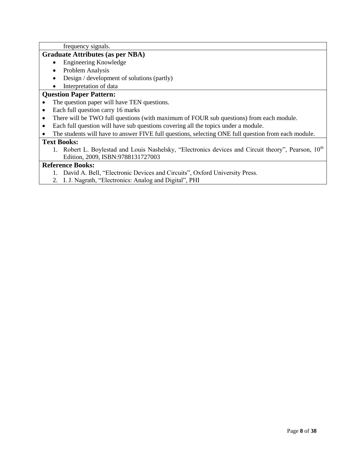frequency signals.

### **Graduate Attributes (as per NBA)**

- Engineering Knowledge
- Problem Analysis
- Design / development of solutions (partly)

# • Interpretation of data

### **Question Paper Pattern:**

- The question paper will have TEN questions.
- Each full question carry 16 marks
- There will be TWO full questions (with maximum of FOUR sub questions) from each module.
- Each full question will have sub questions covering all the topics under a module.
- The students will have to answer FIVE full questions, selecting ONE full question from each module.

### **Text Books:**

1. Robert L. Boylestad and Louis Nashelsky, "Electronics devices and Circuit theory", Pearson, 10<sup>th</sup> Edition, 2009, ISBN:9788131727003

- 1. David A. Bell, "Electronic Devices and Circuits", Oxford University Press.
- 2. I. J. Nagrath, "Electronics: Analog and Digital", PHI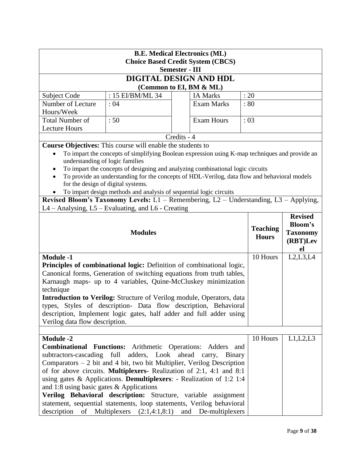| <b>B.E. Medical Electronics (ML)</b><br><b>Choice Based Credit System (CBCS)</b> |                                                                                                                                                         |                       |                   |                                 |                                   |  |
|----------------------------------------------------------------------------------|---------------------------------------------------------------------------------------------------------------------------------------------------------|-----------------------|-------------------|---------------------------------|-----------------------------------|--|
|                                                                                  |                                                                                                                                                         | <b>Semester - III</b> |                   |                                 |                                   |  |
|                                                                                  | DIGITAL DESIGN AND HDL                                                                                                                                  |                       |                   |                                 |                                   |  |
|                                                                                  | (Common to EI, BM & ML)                                                                                                                                 |                       |                   |                                 |                                   |  |
| Subject Code                                                                     | : $15$ EI/BM/ML 34                                                                                                                                      |                       | <b>IA Marks</b>   | : 20                            |                                   |  |
| Number of Lecture                                                                | : 04                                                                                                                                                    |                       | <b>Exam Marks</b> | :80                             |                                   |  |
| Hours/Week                                                                       |                                                                                                                                                         |                       |                   |                                 |                                   |  |
| <b>Total Number of</b>                                                           | :50                                                                                                                                                     |                       | <b>Exam Hours</b> | :03                             |                                   |  |
| <b>Lecture Hours</b>                                                             |                                                                                                                                                         |                       |                   |                                 |                                   |  |
|                                                                                  |                                                                                                                                                         | Credits - 4           |                   |                                 |                                   |  |
|                                                                                  | <b>Course Objectives:</b> This course will enable the students to                                                                                       |                       |                   |                                 |                                   |  |
|                                                                                  | To impart the concepts of simplifying Boolean expression using K-map techniques and provide an                                                          |                       |                   |                                 |                                   |  |
| understanding of logic families                                                  |                                                                                                                                                         |                       |                   |                                 |                                   |  |
| $\bullet$                                                                        | To impart the concepts of designing and analyzing combinational logic circuits                                                                          |                       |                   |                                 |                                   |  |
|                                                                                  | To provide an understanding for the concepts of HDL-Verilog, data flow and behavioral models<br>for the design of digital systems.                      |                       |                   |                                 |                                   |  |
|                                                                                  | To impart design methods and analysis of sequential logic circuits                                                                                      |                       |                   |                                 |                                   |  |
|                                                                                  | Revised Bloom's Taxonomy Levels: L1 - Remembering, L2 - Understanding, L3 - Applying,                                                                   |                       |                   |                                 |                                   |  |
|                                                                                  | L4 – Analysing, L5 – Evaluating, and L6 - Creating                                                                                                      |                       |                   |                                 |                                   |  |
|                                                                                  |                                                                                                                                                         |                       |                   |                                 | <b>Revised</b><br><b>Bloom's</b>  |  |
| <b>Modules</b>                                                                   |                                                                                                                                                         |                       |                   | <b>Teaching</b><br><b>Hours</b> | <b>Taxonomy</b><br>(RBT)Lev<br>el |  |
| <b>Module -1</b>                                                                 |                                                                                                                                                         |                       |                   | 10 Hours                        | L2, L3, L4                        |  |
|                                                                                  | Principles of combinational logic: Definition of combinational logic,                                                                                   |                       |                   |                                 |                                   |  |
|                                                                                  | Canonical forms, Generation of switching equations from truth tables,                                                                                   |                       |                   |                                 |                                   |  |
|                                                                                  | Karnaugh maps- up to 4 variables, Quine-McCluskey minimization                                                                                          |                       |                   |                                 |                                   |  |
| technique                                                                        |                                                                                                                                                         |                       |                   |                                 |                                   |  |
|                                                                                  | <b>Introduction to Verilog:</b> Structure of Verilog module, Operators, data                                                                            |                       |                   |                                 |                                   |  |
|                                                                                  | types, Styles of description- Data flow description, Behavioral                                                                                         |                       |                   |                                 |                                   |  |
|                                                                                  | description, Implement logic gates, half adder and full adder using                                                                                     |                       |                   |                                 |                                   |  |
| Verilog data flow description.                                                   |                                                                                                                                                         |                       |                   |                                 |                                   |  |
|                                                                                  |                                                                                                                                                         |                       |                   |                                 |                                   |  |
| <b>Module -2</b>                                                                 |                                                                                                                                                         |                       |                   | 10 Hours                        | L1,L2,L3                          |  |
|                                                                                  | <b>Combinational Functions:</b> Arithmetic Operations: Adders and                                                                                       |                       |                   |                                 |                                   |  |
|                                                                                  | subtractors-cascading full<br>adders, Look ahead carry, Binary                                                                                          |                       |                   |                                 |                                   |  |
|                                                                                  | Comparators $-2$ bit and 4 bit, two bit Multiplier, Verilog Description<br>of for above circuits. <b>Multiplexers</b> - Realization of 2:1, 4:1 and 8:1 |                       |                   |                                 |                                   |  |
|                                                                                  | using gates & Applications. Demultiplexers: - Realization of 1:2 1:4                                                                                    |                       |                   |                                 |                                   |  |
| and 1:8 using basic gates $&$ Applications                                       |                                                                                                                                                         |                       |                   |                                 |                                   |  |
|                                                                                  | Verilog Behavioral description: Structure, variable assignment                                                                                          |                       |                   |                                 |                                   |  |
|                                                                                  | statement, sequential statements, loop statements, Verilog behavioral                                                                                   |                       |                   |                                 |                                   |  |
| description of Multiplexers $(2:1,4:1,8:1)$ and De-multiplexers                  |                                                                                                                                                         |                       |                   |                                 |                                   |  |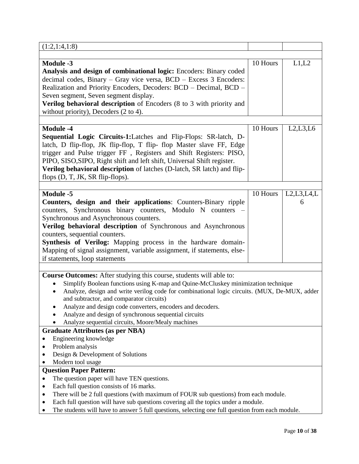| (1:2,1:4,1:8)                                                                                                                                                                                                                                                                                                                                                                                                                                                                                                                                                                                                                                                                                                                                                                                                                                                                     |          |                 |
|-----------------------------------------------------------------------------------------------------------------------------------------------------------------------------------------------------------------------------------------------------------------------------------------------------------------------------------------------------------------------------------------------------------------------------------------------------------------------------------------------------------------------------------------------------------------------------------------------------------------------------------------------------------------------------------------------------------------------------------------------------------------------------------------------------------------------------------------------------------------------------------|----------|-----------------|
|                                                                                                                                                                                                                                                                                                                                                                                                                                                                                                                                                                                                                                                                                                                                                                                                                                                                                   |          |                 |
| <b>Module -3</b><br>Analysis and design of combinational logic: Encoders: Binary coded<br>decimal codes, Binary - Gray vice versa, BCD - Excess 3 Encoders:<br>Realization and Priority Encoders, Decoders: BCD - Decimal, BCD -<br>Seven segment, Seven segment display.<br>Verilog behavioral description of Encoders (8 to 3 with priority and<br>without priority), Decoders $(2 \text{ to } 4)$ .                                                                                                                                                                                                                                                                                                                                                                                                                                                                            | 10 Hours | L1,L2           |
| <b>Module -4</b><br>Sequential Logic Circuits-1:Latches and Flip-Flops: SR-latch, D-<br>latch, D flip-flop, JK flip-flop, T flip- flop Master slave FF, Edge<br>trigger and Pulse trigger FF, Registers and Shift Registers: PISO,<br>PIPO, SISO, SIPO, Right shift and left shift, Universal Shift register.<br>Verilog behavioral description of latches (D-latch, SR latch) and flip-<br>flops $(D, T, JK, SR flip-flops)$ .                                                                                                                                                                                                                                                                                                                                                                                                                                                   | 10 Hours | L2, L3, L6      |
| <b>Module -5</b><br>Counters, design and their applications: Counters-Binary ripple<br>counters, Synchronous binary counters, Modulo N counters<br>Synchronous and Asynchronous counters.<br>Verilog behavioral description of Synchronous and Asynchronous<br>counters, sequential counters.<br>Synthesis of Verilog: Mapping process in the hardware domain-<br>Mapping of signal assignment, variable assignment, if statements, else-<br>if statements, loop statements                                                                                                                                                                                                                                                                                                                                                                                                       | 10 Hours | L2,L3,L4,L<br>6 |
| <b>Course Outcomes:</b> After studying this course, students will able to:<br>Simplify Boolean functions using K-map and Quine-McCluskey minimization technique<br>Analyze, design and write verilog code for combinational logic circuits. (MUX, De-MUX, adder<br>$\bullet$<br>and subtractor, and comparator circuits)<br>Analyze and design code converters, encoders and decoders.<br>Analyze and design of synchronous sequential circuits<br>Analyze sequential circuits, Moore/Mealy machines<br><b>Graduate Attributes (as per NBA)</b><br>Engineering knowledge<br>Problem analysis<br>Design & Development of Solutions<br>Modern tool usage<br><b>Question Paper Pattern:</b><br>The question paper will have TEN questions.<br>Each full question consists of 16 marks.<br>٠<br>There will be 2 full questions (with maximum of FOUR sub questions) from each module. |          |                 |
| Each full question will have sub questions covering all the topics under a module.<br>The students will have to answer 5 full questions, selecting one full question from each module.                                                                                                                                                                                                                                                                                                                                                                                                                                                                                                                                                                                                                                                                                            |          |                 |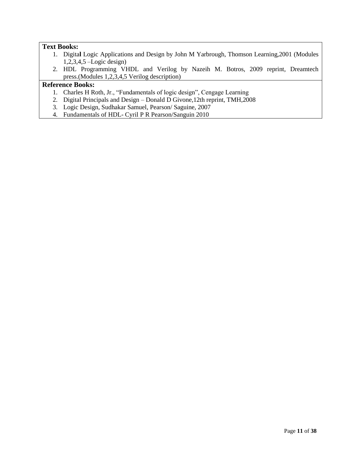### **Text Books:**

- 1. Digita**l** Logic Applications and Design by John M Yarbrough, Thomson Learning,2001 (Modules 1,2,3,4,5 –Logic design)
- 2. HDL Programming VHDL and Verilog by Nazeih M. Botros, 2009 reprint, Dreamtech press.(Modules 1,2,3,4,5 Verilog description)

- 1. Charles H Roth, Jr., "Fundamentals of logic design", Cengage Learning
- 2. Digital Principals and Design Donald D Givone,12th reprint, TMH,2008
- 3. Logic Design, Sudhakar Samuel, Pearson/ Saguine, 2007
- 4. Fundamentals of HDL- Cyril P R Pearson/Sanguin 2010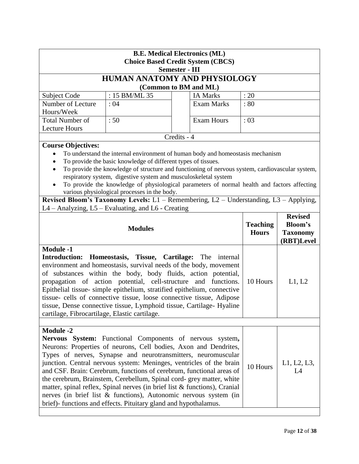| <b>B.E. Medical Electronics (ML)</b><br><b>Choice Based Credit System (CBCS)</b>                                                                                                                                                                                                                                                                                                                                                                                                                                                                                                                                                                                                                |                                                                                                                                  |                                                                                                                                                                                                                                                                                  |          |        |  |
|-------------------------------------------------------------------------------------------------------------------------------------------------------------------------------------------------------------------------------------------------------------------------------------------------------------------------------------------------------------------------------------------------------------------------------------------------------------------------------------------------------------------------------------------------------------------------------------------------------------------------------------------------------------------------------------------------|----------------------------------------------------------------------------------------------------------------------------------|----------------------------------------------------------------------------------------------------------------------------------------------------------------------------------------------------------------------------------------------------------------------------------|----------|--------|--|
|                                                                                                                                                                                                                                                                                                                                                                                                                                                                                                                                                                                                                                                                                                 |                                                                                                                                  | <b>Semester - III</b>                                                                                                                                                                                                                                                            |          |        |  |
|                                                                                                                                                                                                                                                                                                                                                                                                                                                                                                                                                                                                                                                                                                 |                                                                                                                                  | HUMAN ANATOMY AND PHYSIOLOGY                                                                                                                                                                                                                                                     |          |        |  |
|                                                                                                                                                                                                                                                                                                                                                                                                                                                                                                                                                                                                                                                                                                 |                                                                                                                                  | (Common to BM and ML)                                                                                                                                                                                                                                                            |          |        |  |
| Subject Code                                                                                                                                                                                                                                                                                                                                                                                                                                                                                                                                                                                                                                                                                    | : 15 BM/ML 35                                                                                                                    | <b>IA Marks</b>                                                                                                                                                                                                                                                                  | : 20     |        |  |
| Number of Lecture<br>Hours/Week                                                                                                                                                                                                                                                                                                                                                                                                                                                                                                                                                                                                                                                                 | :04                                                                                                                              | <b>Exam Marks</b>                                                                                                                                                                                                                                                                | :80      |        |  |
| <b>Total Number of</b>                                                                                                                                                                                                                                                                                                                                                                                                                                                                                                                                                                                                                                                                          | :50                                                                                                                              | <b>Exam Hours</b>                                                                                                                                                                                                                                                                | :03      |        |  |
| <b>Lecture Hours</b>                                                                                                                                                                                                                                                                                                                                                                                                                                                                                                                                                                                                                                                                            |                                                                                                                                  |                                                                                                                                                                                                                                                                                  |          |        |  |
|                                                                                                                                                                                                                                                                                                                                                                                                                                                                                                                                                                                                                                                                                                 |                                                                                                                                  | Credits - 4                                                                                                                                                                                                                                                                      |          |        |  |
| Course Objectives:                                                                                                                                                                                                                                                                                                                                                                                                                                                                                                                                                                                                                                                                              | To provide the basic knowledge of different types of tissues.<br>respiratory system, digestive system and musculoskeletal system | To understand the internal environment of human body and homeostasis mechanism<br>To provide the knowledge of structure and functioning of nervous system, cardiovascular system,<br>To provide the knowledge of physiological parameters of normal health and factors affecting |          |        |  |
|                                                                                                                                                                                                                                                                                                                                                                                                                                                                                                                                                                                                                                                                                                 | various physiological processes in the body.                                                                                     | Revised Bloom's Taxonomy Levels: $L1$ – Remembering, $L2$ – Understanding, $L3$ – Applying,                                                                                                                                                                                      |          |        |  |
|                                                                                                                                                                                                                                                                                                                                                                                                                                                                                                                                                                                                                                                                                                 | L4 - Analyzing, L5 - Evaluating, and L6 - Creating                                                                               |                                                                                                                                                                                                                                                                                  |          |        |  |
|                                                                                                                                                                                                                                                                                                                                                                                                                                                                                                                                                                                                                                                                                                 | <b>Revised</b><br><b>Teaching</b><br><b>Bloom's</b><br><b>Modules</b><br><b>Hours</b><br><b>Taxonomy</b><br>(RBT)Level           |                                                                                                                                                                                                                                                                                  |          |        |  |
| <b>Module -1</b><br><b>Introduction:</b><br>Homeostasis, Tissue, Cartilage: The<br>internal<br>environment and homeostasis, survival needs of the body, movement<br>of substances within the body, body fluids, action potential,<br>propagation of action potential, cell-structure<br>functions.<br>and<br>Epithelial tissue- simple epithelium, stratified epithelium, connective<br>tissue- cells of connective tissue, loose connective tissue, Adipose<br>tissue, Dense connective tissue, Lymphoid tissue, Cartilage-Hyaline<br>cartilage, Fibrocartilage, Elastic cartilage.                                                                                                            |                                                                                                                                  |                                                                                                                                                                                                                                                                                  | 10 Hours | L1, L2 |  |
|                                                                                                                                                                                                                                                                                                                                                                                                                                                                                                                                                                                                                                                                                                 |                                                                                                                                  |                                                                                                                                                                                                                                                                                  |          |        |  |
| <b>Module -2</b><br>Nervous System: Functional Components of nervous system,<br>Neurons: Properties of neurons, Cell bodies, Axon and Dendrites,<br>Types of nerves, Synapse and neurotransmitters, neuromuscular<br>junction. Central nervous system: Meninges, ventricles of the brain<br>L1, L2, L3,<br>10 Hours<br>and CSF. Brain: Cerebrum, functions of cerebrum, functional areas of<br>L4<br>the cerebrum, Brainstem, Cerebellum, Spinal cord- grey matter, white<br>matter, spinal reflex, Spinal nerves (in brief list $&$ functions), Cranial<br>nerves (in brief list & functions), Autonomic nervous system (in<br>brief)-functions and effects. Pituitary gland and hypothalamus. |                                                                                                                                  |                                                                                                                                                                                                                                                                                  |          |        |  |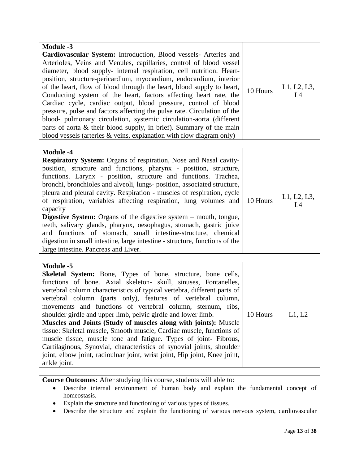| Arterioles, Veins and Venules, capillaries, control of blood vessel<br>diameter, blood supply- internal respiration, cell nutrition. Heart-<br>position, structure-pericardium, myocardium, endocardium, interior<br>of the heart, flow of blood through the heart, blood supply to heart,<br>L1, L2, L3,<br>10 Hours<br>Conducting system of the heart, factors affecting heart rate, the<br>L4<br>Cardiac cycle, cardiac output, blood pressure, control of blood<br>pressure, pulse and factors affecting the pulse rate. Circulation of the<br>blood- pulmonary circulation, systemic circulation-aorta (different<br>parts of aorta & their blood supply, in brief). Summary of the main<br>blood vessels (arteries $\&$ veins, explanation with flow diagram only)                                                                                |
|---------------------------------------------------------------------------------------------------------------------------------------------------------------------------------------------------------------------------------------------------------------------------------------------------------------------------------------------------------------------------------------------------------------------------------------------------------------------------------------------------------------------------------------------------------------------------------------------------------------------------------------------------------------------------------------------------------------------------------------------------------------------------------------------------------------------------------------------------------|
|                                                                                                                                                                                                                                                                                                                                                                                                                                                                                                                                                                                                                                                                                                                                                                                                                                                         |
| <b>Module -4</b><br><b>Respiratory System:</b> Organs of respiration, Nose and Nasal cavity-<br>position, structure and functions, pharynx - position, structure,<br>functions. Larynx - position, structure and functions. Trachea,<br>bronchi, bronchioles and alveoli, lungs- position, associated structure,<br>pleura and pleural cavity. Respiration - muscles of respiration, cycle<br>L1, L2, L3,<br>of respiration, variables affecting respiration, lung volumes and<br>10 Hours<br>L4<br>capacity<br><b>Digestive System:</b> Organs of the digestive system – mouth, tongue,<br>teeth, salivary glands, pharynx, oesophagus, stomach, gastric juice<br>and functions of stomach, small intestine-structure, chemical<br>digestion in small intestine, large intestine - structure, functions of the<br>large intestine. Pancreas and Liver. |
|                                                                                                                                                                                                                                                                                                                                                                                                                                                                                                                                                                                                                                                                                                                                                                                                                                                         |
| <b>Module -5</b><br><b>Skeletal System:</b> Bone, Types of bone, structure, bone cells,<br>functions of bone. Axial skeleton- skull, sinuses, Fontanelles,<br>vertebral column characteristics of typical vertebra, different parts of<br>vertebral column (parts only), features of vertebral column,<br>movements and functions of vertebral column, sternum, ribs,<br>shoulder girdle and upper limb, pelvic girdle and lower limb.<br>10 Hours<br>L1, L2<br>Muscles and Joints (Study of muscles along with joints): Muscle<br>tissue: Skeletal muscle, Smooth muscle, Cardiac muscle, functions of<br>muscle tissue, muscle tone and fatigue. Types of joint- Fibrous,<br>Cartilaginous, Synovial, characteristics of synovial joints, shoulder<br>joint, elbow joint, radioulnar joint, wrist joint, Hip joint, Knee joint,<br>ankle joint.       |
| Course Outcomes: After studying this course, students will able to:                                                                                                                                                                                                                                                                                                                                                                                                                                                                                                                                                                                                                                                                                                                                                                                     |

 Describe internal environment of human body and explain the fundamental concept of homeostasis.

Explain the structure and functioning of various types of tissues.

• Describe the structure and explain the functioning of various nervous system, cardiovascular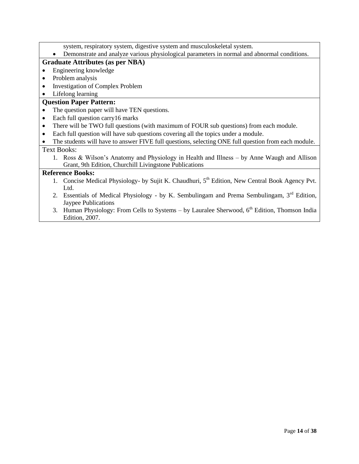- system, respiratory system, digestive system and musculoskeletal system.
- Demonstrate and analyze various physiological parameters in normal and abnormal conditions.

### **Graduate Attributes (as per NBA)**

- Engineering knowledge
- Problem analysis
- Investigation of Complex Problem
- Lifelong learning

### **Question Paper Pattern:**

- The question paper will have TEN questions.
- Each full question carry 16 marks
- There will be TWO full questions (with maximum of FOUR sub questions) from each module.
- Each full question will have sub questions covering all the topics under a module.
- The students will have to answer FIVE full questions, selecting ONE full question from each module.

## Text Books:

1. Ross & Wilson's Anatomy and Physiology in Health and Illness – by Anne Waugh and Allison Grant, 9th Edition, Churchill Livingstone Publications

- 1. Concise Medical Physiology- by Sujit K. Chaudhuri, 5<sup>th</sup> Edition, New Central Book Agency Pvt. Ltd.
- 2. Essentials of Medical Physiology by K. Sembulingam and Prema Sembulingam,  $3<sup>rd</sup>$  Edition, Jaypee Publications
- 3. Human Physiology: From Cells to Systems by Lauralee Sherwood,  $6<sup>th</sup>$  Edition, Thomson India Edition, 2007.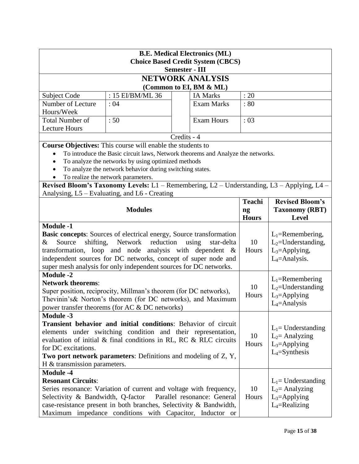| <b>B.E. Medical Electronics (ML)</b><br><b>Choice Based Credit System (CBCS)</b>                                                                                                                                                                                                                                                                                                                       |                                                                                                                                                                                                                                                                                                       |             |                                            |             |                                                                                      |  |
|--------------------------------------------------------------------------------------------------------------------------------------------------------------------------------------------------------------------------------------------------------------------------------------------------------------------------------------------------------------------------------------------------------|-------------------------------------------------------------------------------------------------------------------------------------------------------------------------------------------------------------------------------------------------------------------------------------------------------|-------------|--------------------------------------------|-------------|--------------------------------------------------------------------------------------|--|
| <b>Semester - III</b><br><b>NETWORK ANALYSIS</b>                                                                                                                                                                                                                                                                                                                                                       |                                                                                                                                                                                                                                                                                                       |             |                                            |             |                                                                                      |  |
|                                                                                                                                                                                                                                                                                                                                                                                                        |                                                                                                                                                                                                                                                                                                       |             |                                            |             |                                                                                      |  |
| Subject Code                                                                                                                                                                                                                                                                                                                                                                                           | : 15 EI/BM/ML 36                                                                                                                                                                                                                                                                                      |             | (Common to EI, BM & ML)<br><b>IA Marks</b> | : 20        |                                                                                      |  |
| Number of Lecture                                                                                                                                                                                                                                                                                                                                                                                      | : 04                                                                                                                                                                                                                                                                                                  |             | <b>Exam Marks</b>                          | : 80        |                                                                                      |  |
| Hours/Week                                                                                                                                                                                                                                                                                                                                                                                             |                                                                                                                                                                                                                                                                                                       |             |                                            |             |                                                                                      |  |
| <b>Total Number of</b>                                                                                                                                                                                                                                                                                                                                                                                 | :50                                                                                                                                                                                                                                                                                                   |             | <b>Exam Hours</b>                          | :03         |                                                                                      |  |
| <b>Lecture Hours</b>                                                                                                                                                                                                                                                                                                                                                                                   |                                                                                                                                                                                                                                                                                                       |             |                                            |             |                                                                                      |  |
|                                                                                                                                                                                                                                                                                                                                                                                                        |                                                                                                                                                                                                                                                                                                       | Credits - 4 |                                            |             |                                                                                      |  |
| $\bullet$<br>$\bullet$                                                                                                                                                                                                                                                                                                                                                                                 | Course Objectives: This course will enable the students to<br>To introduce the Basic circuit laws, Network theorems and Analyze the networks.<br>To analyze the networks by using optimized methods<br>To analyze the network behavior during switching states.<br>To realize the network parameters. |             |                                            |             |                                                                                      |  |
|                                                                                                                                                                                                                                                                                                                                                                                                        | Revised Bloom's Taxonomy Levels: L1 - Remembering, L2 - Understanding, L3 - Applying, L4 -                                                                                                                                                                                                            |             |                                            |             |                                                                                      |  |
|                                                                                                                                                                                                                                                                                                                                                                                                        | Analysing, L5 - Evaluating, and L6 - Creating                                                                                                                                                                                                                                                         |             |                                            |             |                                                                                      |  |
|                                                                                                                                                                                                                                                                                                                                                                                                        | <b>Teachi</b><br><b>Revised Bloom's</b><br><b>Modules</b><br><b>Taxonomy (RBT)</b><br>ng<br><b>Hours</b><br><b>Level</b>                                                                                                                                                                              |             |                                            |             |                                                                                      |  |
| <b>Module -1</b>                                                                                                                                                                                                                                                                                                                                                                                       |                                                                                                                                                                                                                                                                                                       |             |                                            |             |                                                                                      |  |
| <b>Basic concepts:</b> Sources of electrical energy, Source transformation<br>shifting,<br>Network<br>reduction<br>Source<br>using<br>star-delta<br>&<br>transformation, loop and node analysis with dependent &<br>independent sources for DC networks, concept of super node and<br>super mesh analysis for only independent sources for DC networks.                                                |                                                                                                                                                                                                                                                                                                       |             |                                            | 10<br>Hours | $L_1$ =Remembering,<br>$L_2$ =Understanding,<br>$L_3$ =Applying,<br>$L_4$ =Analysis. |  |
| <b>Module -2</b><br><b>Network theorems:</b><br>10<br>Super position, reciprocity, Millman's theorem (for DC networks),<br>Hours<br>Thevinin's & Norton's theorem (for DC networks), and Maximum<br>power transfer theorems (for AC & DC networks)                                                                                                                                                     |                                                                                                                                                                                                                                                                                                       |             |                                            |             | $L_1$ =Remembering<br>$L_2$ =Understanding<br>$L_3$ =Applying<br>$L_4$ =Analysis     |  |
| <b>Module -3</b><br>Transient behavior and initial conditions: Behavior of circuit<br>elements under switching condition and their representation,<br>10<br>evaluation of initial & final conditions in RL, RC & RLC circuits<br>Hours<br>$L_3$ =Applying<br>for DC excitations.<br>$L_4$ =Synthesis<br>Two port network parameters: Definitions and modeling of Z, Y,<br>H & transmission parameters. |                                                                                                                                                                                                                                                                                                       |             |                                            |             | $L_1$ = Understanding<br>$L_2$ = Analyzing                                           |  |
| <b>Module -4</b><br><b>Resonant Circuits:</b><br>10<br>Series resonance: Variation of current and voltage with frequency,<br>Selectivity & Bandwidth, Q-factor<br>Parallel resonance: General<br>Hours<br>case-resistance present in both branches, Selectivity & Bandwidth,<br>Maximum impedance conditions with Capacitor, Inductor or                                                               |                                                                                                                                                                                                                                                                                                       |             |                                            |             | $L_1$ = Understanding<br>$L_2$ = Analyzing<br>$L_3$ =Applying<br>$L_4$ =Realizing    |  |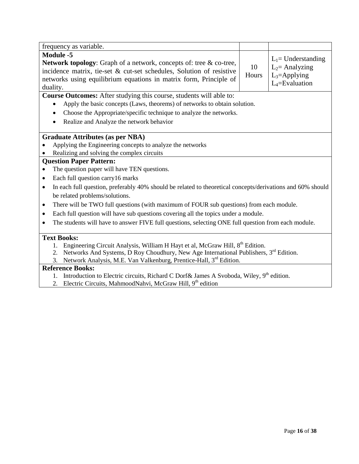| frequency as variable.                                                                                                                                                                                                                                 |             |                                                                                    |  |  |
|--------------------------------------------------------------------------------------------------------------------------------------------------------------------------------------------------------------------------------------------------------|-------------|------------------------------------------------------------------------------------|--|--|
| <b>Module -5</b><br><b>Network topology:</b> Graph of a network, concepts of: tree & co-tree,<br>incidence matrix, tie-set & cut-set schedules, Solution of resistive<br>networks using equilibrium equations in matrix form, Principle of<br>duality. | 10<br>Hours | $L_1$ = Understanding<br>$L_2$ = Analyzing<br>$L_3$ =Applying<br>$L_4$ =Evaluation |  |  |
| <b>Course Outcomes:</b> After studying this course, students will able to:                                                                                                                                                                             |             |                                                                                    |  |  |
| Apply the basic concepts (Laws, theorems) of networks to obtain solution.                                                                                                                                                                              |             |                                                                                    |  |  |
| Choose the Appropriate/specific technique to analyze the networks.                                                                                                                                                                                     |             |                                                                                    |  |  |
| Realize and Analyze the network behavior                                                                                                                                                                                                               |             |                                                                                    |  |  |
| <b>Graduate Attributes (as per NBA)</b>                                                                                                                                                                                                                |             |                                                                                    |  |  |
| Applying the Engineering concepts to analyze the networks                                                                                                                                                                                              |             |                                                                                    |  |  |
| Realizing and solving the complex circuits                                                                                                                                                                                                             |             |                                                                                    |  |  |
| <b>Question Paper Pattern:</b>                                                                                                                                                                                                                         |             |                                                                                    |  |  |
| The question paper will have TEN questions.                                                                                                                                                                                                            |             |                                                                                    |  |  |
| Each full question carry 16 marks<br>$\bullet$                                                                                                                                                                                                         |             |                                                                                    |  |  |
| In each full question, preferably 40% should be related to theoretical concepts/derivations and 60% should<br>$\bullet$                                                                                                                                |             |                                                                                    |  |  |
| be related problems/solutions.                                                                                                                                                                                                                         |             |                                                                                    |  |  |
| There will be TWO full questions (with maximum of FOUR sub questions) from each module.<br>$\bullet$                                                                                                                                                   |             |                                                                                    |  |  |
| Each full question will have sub questions covering all the topics under a module.<br>$\bullet$                                                                                                                                                        |             |                                                                                    |  |  |
| The students will have to answer FIVE full questions, selecting ONE full question from each module.<br>$\bullet$                                                                                                                                       |             |                                                                                    |  |  |
| <b>Text Books:</b>                                                                                                                                                                                                                                     |             |                                                                                    |  |  |
| Engineering Circuit Analysis, William H Hayt et al, McGraw Hill, 8 <sup>th</sup> Edition.                                                                                                                                                              |             |                                                                                    |  |  |
| Networks And Systems, D Roy Choudhury, New Age International Publishers, 3 <sup>rd</sup> Edition.<br>2.                                                                                                                                                |             |                                                                                    |  |  |
| Network Analysis, M.E. Van Valkenburg, Prentice-Hall, 3rd Edition.<br>3.                                                                                                                                                                               |             |                                                                                    |  |  |
| <b>Reference Books:</b>                                                                                                                                                                                                                                |             |                                                                                    |  |  |

- 1. Introduction to Electric circuits, Richard C Dorf& James A Svoboda, Wiley, 9<sup>th</sup> edition.
- 2. Electric Circuits, MahmoodNahvi, McGraw Hill, 9<sup>th</sup> edition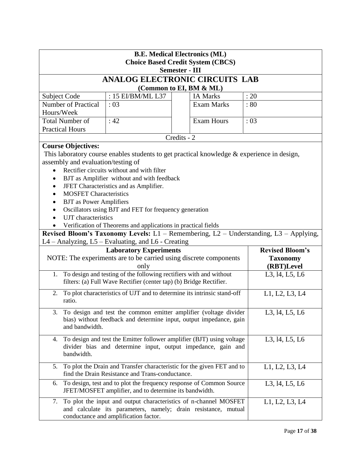| <b>B.E. Medical Electronics (ML)</b><br><b>Choice Based Credit System (CBCS)</b><br><b>Semester - III</b>                                                                                                                                                                                                                                                                                                                                                                                                                                                                                                         |                                                                                                                                              |                                                                                                                                    |                        |  |  |  |  |
|-------------------------------------------------------------------------------------------------------------------------------------------------------------------------------------------------------------------------------------------------------------------------------------------------------------------------------------------------------------------------------------------------------------------------------------------------------------------------------------------------------------------------------------------------------------------------------------------------------------------|----------------------------------------------------------------------------------------------------------------------------------------------|------------------------------------------------------------------------------------------------------------------------------------|------------------------|--|--|--|--|
|                                                                                                                                                                                                                                                                                                                                                                                                                                                                                                                                                                                                                   |                                                                                                                                              | <b>ANALOG ELECTRONIC CIRCUITS LAB</b>                                                                                              |                        |  |  |  |  |
| (Common to EI, BM & ML)                                                                                                                                                                                                                                                                                                                                                                                                                                                                                                                                                                                           |                                                                                                                                              |                                                                                                                                    |                        |  |  |  |  |
| Subject Code                                                                                                                                                                                                                                                                                                                                                                                                                                                                                                                                                                                                      | : 15 EI/BM/ML L37                                                                                                                            | <b>IA Marks</b>                                                                                                                    | : 20                   |  |  |  |  |
| <b>Number of Practical</b>                                                                                                                                                                                                                                                                                                                                                                                                                                                                                                                                                                                        | :03                                                                                                                                          | <b>Exam Marks</b>                                                                                                                  | $\therefore 80$        |  |  |  |  |
| Hours/Week                                                                                                                                                                                                                                                                                                                                                                                                                                                                                                                                                                                                        |                                                                                                                                              |                                                                                                                                    |                        |  |  |  |  |
| <b>Total Number of</b>                                                                                                                                                                                                                                                                                                                                                                                                                                                                                                                                                                                            | :42                                                                                                                                          | <b>Exam Hours</b>                                                                                                                  | : 03                   |  |  |  |  |
| <b>Practical Hours</b>                                                                                                                                                                                                                                                                                                                                                                                                                                                                                                                                                                                            |                                                                                                                                              |                                                                                                                                    |                        |  |  |  |  |
|                                                                                                                                                                                                                                                                                                                                                                                                                                                                                                                                                                                                                   |                                                                                                                                              | Credits - 2                                                                                                                        |                        |  |  |  |  |
| <b>Course Objectives:</b><br>This laboratory course enables students to get practical knowledge & experience in design,<br>assembly and evaluation/testing of<br>Rectifier circuits without and with filter<br>BJT as Amplifier without and with feedback<br>JFET Characteristics and as Amplifier.<br><b>MOSFET Characteristics</b><br><b>BJT</b> as Power Amplifiers<br>Oscillators using BJT and FET for frequency generation<br>UJT characteristics<br>Verification of Theorems and applications in practical fields<br>Revised Bloom's Taxonomy Levels: L1 - Remembering, L2 - Understanding, L3 - Applying, |                                                                                                                                              |                                                                                                                                    |                        |  |  |  |  |
|                                                                                                                                                                                                                                                                                                                                                                                                                                                                                                                                                                                                                   | L4 - Analyzing, L5 - Evaluating, and L6 - Creating                                                                                           |                                                                                                                                    |                        |  |  |  |  |
|                                                                                                                                                                                                                                                                                                                                                                                                                                                                                                                                                                                                                   | <b>Laboratory Experiments</b>                                                                                                                |                                                                                                                                    | <b>Revised Bloom's</b> |  |  |  |  |
|                                                                                                                                                                                                                                                                                                                                                                                                                                                                                                                                                                                                                   |                                                                                                                                              | NOTE: The experiments are to be carried using discrete components                                                                  | <b>Taxonomy</b>        |  |  |  |  |
|                                                                                                                                                                                                                                                                                                                                                                                                                                                                                                                                                                                                                   | only                                                                                                                                         |                                                                                                                                    | (RBT)Level             |  |  |  |  |
| 1.                                                                                                                                                                                                                                                                                                                                                                                                                                                                                                                                                                                                                | To design and testing of the following rectifiers with and without<br>filters: (a) Full Wave Rectifier (center tap) (b) Bridge Rectifier.    |                                                                                                                                    | L3, 14, L5, L6         |  |  |  |  |
| 2.<br>ratio.                                                                                                                                                                                                                                                                                                                                                                                                                                                                                                                                                                                                      |                                                                                                                                              | To plot characteristics of UJT and to determine its intrinsic stand-off                                                            | L1, L2, L3, L4         |  |  |  |  |
| To design and test the common emitter amplifier (voltage divider<br>L3, 14, L5, L6<br>bias) without feedback and determine input, output impedance, gain<br>and bandwidth.                                                                                                                                                                                                                                                                                                                                                                                                                                        |                                                                                                                                              |                                                                                                                                    |                        |  |  |  |  |
| 4. To design and test the Emitter follower amplifier (BJT) using voltage<br>L3, 14, L5, L6<br>divider bias and determine input, output impedance, gain and<br>bandwidth.                                                                                                                                                                                                                                                                                                                                                                                                                                          |                                                                                                                                              |                                                                                                                                    |                        |  |  |  |  |
| 5.                                                                                                                                                                                                                                                                                                                                                                                                                                                                                                                                                                                                                | To plot the Drain and Transfer characteristic for the given FET and to<br>L1, L2, L3, L4<br>find the Drain Resistance and Trans-conductance. |                                                                                                                                    |                        |  |  |  |  |
| 6.                                                                                                                                                                                                                                                                                                                                                                                                                                                                                                                                                                                                                | JFET/MOSFET amplifier, and to determine its bandwidth.                                                                                       | To design, test and to plot the frequency response of Common Source                                                                | L3, 14, L5, L6         |  |  |  |  |
| 7.                                                                                                                                                                                                                                                                                                                                                                                                                                                                                                                                                                                                                | conductance and amplification factor.                                                                                                        | To plot the input and output characteristics of n-channel MOSFET<br>and calculate its parameters, namely; drain resistance, mutual | L1, L2, L3, L4         |  |  |  |  |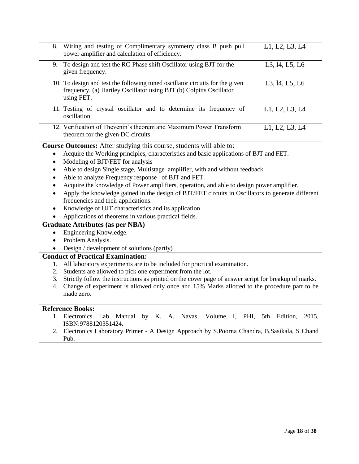| 8.        | Wiring and testing of Complimentary symmetry class B push pull<br>power amplifier and calculation of efficiency.                                                  | L1, L2, L3, L4      |
|-----------|-------------------------------------------------------------------------------------------------------------------------------------------------------------------|---------------------|
| 9.        | To design and test the RC-Phase shift Oscillator using BJT for the<br>given frequency.                                                                            | L3, 14, L5, L6      |
|           | 10. To design and test the following tuned oscillator circuits for the given<br>frequency. (a) Hartley Oscillator using BJT (b) Colpitts Oscillator<br>using FET. | L3, 14, L5, L6      |
|           | 11. Testing of crystal oscillator and to determine its frequency of<br>oscillation.                                                                               | L1, L2, L3, L4      |
|           | 12. Verification of Thevenin's theorem and Maximum Power Transform<br>theorem for the given DC circuits.                                                          | L1, L2, L3, L4      |
|           | Course Outcomes: After studying this course, students will able to:                                                                                               |                     |
|           | Acquire the Working principles, characteristics and basic applications of BJT and FET.                                                                            |                     |
| $\bullet$ | Modeling of BJT/FET for analysis                                                                                                                                  |                     |
|           | Able to design Single stage, Multistage amplifier, with and without feedback                                                                                      |                     |
|           | Able to analyze Frequency response of BJT and FET.                                                                                                                |                     |
|           | Acquire the knowledge of Power amplifiers, operation, and able to design power amplifier.                                                                         |                     |
|           | Apply the knowledge gained in the design of BJT/FET circuits in Oscillators to generate different                                                                 |                     |
|           | frequencies and their applications.                                                                                                                               |                     |
|           | Knowledge of UJT characteristics and its application.                                                                                                             |                     |
|           | Applications of theorems in various practical fields.                                                                                                             |                     |
|           | <b>Graduate Attributes (as per NBA)</b>                                                                                                                           |                     |
| $\bullet$ | Engineering Knowledge.                                                                                                                                            |                     |
| $\bullet$ | Problem Analysis.                                                                                                                                                 |                     |
|           | Design / development of solutions (partly)                                                                                                                        |                     |
|           | <b>Conduct of Practical Examination:</b>                                                                                                                          |                     |
| 1.        | All laboratory experiments are to be included for practical examination.                                                                                          |                     |
| 2.        | Students are allowed to pick one experiment from the lot.                                                                                                         |                     |
| 3.        | Strictly follow the instructions as printed on the cover page of answer script for breakup of marks.                                                              |                     |
| 4.        | Change of experiment is allowed only once and 15% Marks allotted to the procedure part to be                                                                      |                     |
|           | made zero.                                                                                                                                                        |                     |
|           |                                                                                                                                                                   |                     |
|           | <b>Reference Books:</b><br>1 Flectronics Lab Manual by K A Navas Volume I PHI                                                                                     | 5th Edition<br>2015 |
|           |                                                                                                                                                                   |                     |

- 1. Electronics Lab Manual by K. A. Navas, Volume I, PHI, 5th Edition, 2015, ISBN:9788120351424.
- 2. Electronics Laboratory Primer A Design Approach by S.Poorna Chandra, B.Sasikala, S Chand Pub.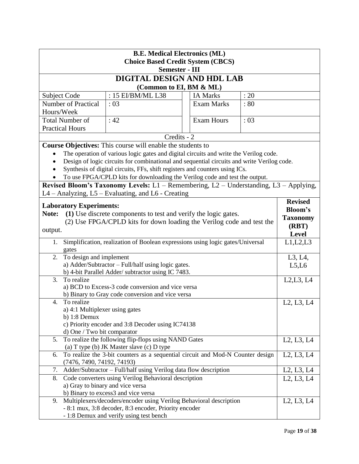|                                                                                               | <b>B.E. Medical Electronics (ML)</b>                                                       |                   |      |                          |  |
|-----------------------------------------------------------------------------------------------|--------------------------------------------------------------------------------------------|-------------------|------|--------------------------|--|
|                                                                                               | <b>Choice Based Credit System (CBCS)</b><br><b>Semester - III</b>                          |                   |      |                          |  |
|                                                                                               | DIGITAL DESIGN AND HDL LAB                                                                 |                   |      |                          |  |
|                                                                                               | (Common to EI, BM & ML)                                                                    |                   |      |                          |  |
| <b>Subject Code</b>                                                                           | : 15 EI/BM/ML L38                                                                          | <b>IA Marks</b>   | : 20 |                          |  |
| <b>Number of Practical</b>                                                                    | :03                                                                                        | <b>Exam Marks</b> | : 80 |                          |  |
| Hours/Week                                                                                    |                                                                                            |                   |      |                          |  |
| <b>Total Number of</b>                                                                        | : 42                                                                                       | <b>Exam Hours</b> | :03  |                          |  |
| <b>Practical Hours</b>                                                                        |                                                                                            |                   |      |                          |  |
|                                                                                               | Credits - 2                                                                                |                   |      |                          |  |
|                                                                                               | <b>Course Objectives:</b> This course will enable the students to                          |                   |      |                          |  |
| $\bullet$                                                                                     | The operation of various logic gates and digital circuits and write the Verilog code.      |                   |      |                          |  |
|                                                                                               | Design of logic circuits for combinational and sequential circuits and write Verilog code. |                   |      |                          |  |
|                                                                                               | Synthesis of digital circuits, FFs, shift registers and counters using ICs.                |                   |      |                          |  |
|                                                                                               | To use FPGA/CPLD kits for downloading the Verilog code and test the output.                |                   |      |                          |  |
|                                                                                               | Revised Bloom's Taxonomy Levels: L1 - Remembering, L2 - Understanding, L3 - Applying,      |                   |      |                          |  |
|                                                                                               | L4 - Analyzing, L5 - Evaluating, and L6 - Creating                                         |                   |      |                          |  |
| <b>Laboratory Experiments:</b>                                                                |                                                                                            |                   |      | <b>Revised</b>           |  |
| Note:                                                                                         | (1) Use discrete components to test and verify the logic gates.                            |                   |      | <b>Bloom's</b>           |  |
|                                                                                               |                                                                                            |                   |      | <b>Taxonomy</b><br>(RBT) |  |
| (2) Use FPGA/CPLD kits for down loading the Verilog code and test the<br>output.              |                                                                                            |                   |      |                          |  |
|                                                                                               |                                                                                            |                   |      |                          |  |
| Simplification, realization of Boolean expressions using logic gates/Universal<br>1.<br>gates |                                                                                            |                   |      |                          |  |
| To design and implement<br>2.                                                                 |                                                                                            |                   |      | L3, L4,                  |  |
|                                                                                               | a) Adder/Subtractor - Full/half using logic gates.                                         |                   |      | L5,L6                    |  |
|                                                                                               | b) 4-bit Parallel Adder/ subtractor using IC 7483.                                         |                   |      |                          |  |
| To realize<br>3.                                                                              |                                                                                            |                   |      | L2, L3, L4               |  |
|                                                                                               | a) BCD to Excess-3 code conversion and vice versa                                          |                   |      |                          |  |
|                                                                                               | b) Binary to Gray code conversion and vice versa                                           |                   |      |                          |  |
| To realize<br>4.                                                                              |                                                                                            |                   |      | L2, L3, L4               |  |
| a) 4:1 Multiplexer using gates<br>b) $1:8$ Demux                                              |                                                                                            |                   |      |                          |  |
|                                                                                               | c) Priority encoder and 3:8 Decoder using IC74138                                          |                   |      |                          |  |
| d) One / Two bit comparator                                                                   |                                                                                            |                   |      |                          |  |
| 5.                                                                                            | To realize the following flip-flops using NAND Gates                                       |                   |      | L2, L3, L4               |  |
|                                                                                               | (a) T type (b) JK Master slave (c) D type                                                  |                   |      |                          |  |
| To realize the 3-bit counters as a sequential circuit and Mod-N Counter design<br>6.          |                                                                                            |                   |      |                          |  |
| L2, L3, L4<br>(7476, 7490, 74192, 74193)                                                      |                                                                                            |                   |      |                          |  |
| 7.<br>Adder/Subtractor - Full/half using Verilog data flow description                        | L <sub>2</sub> , L <sub>3</sub> , L <sub>4</sub>                                           |                   |      |                          |  |
| 8.                                                                                            | Code converters using Verilog Behavioral description                                       |                   |      | L2, L3, L4               |  |
| a) Gray to binary and vice versa                                                              |                                                                                            |                   |      |                          |  |
|                                                                                               | b) Binary to excess3 and vice versa                                                        |                   |      |                          |  |
| 9.                                                                                            | Multiplexers/decoders/encoder using Verilog Behavioral description                         |                   |      | L2, L3, L4               |  |
|                                                                                               | - 8:1 mux, 3:8 decoder, 8:3 encoder, Priority encoder                                      |                   |      |                          |  |
|                                                                                               | - 1:8 Demux and verify using test bench                                                    |                   |      |                          |  |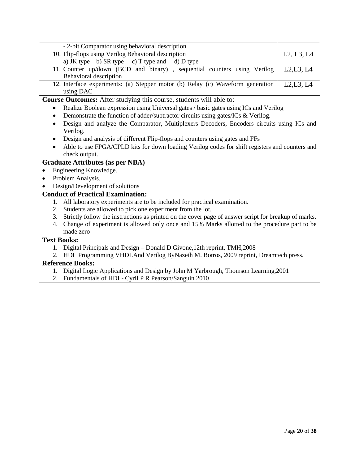| - 2-bit Comparator using behavioral description<br>10. Flip-flops using Verilog Behavioral description<br>L2, L3, L4 |
|----------------------------------------------------------------------------------------------------------------------|
|                                                                                                                      |
|                                                                                                                      |
| a) JK type b) SR type c) T type and d) D type                                                                        |
| 11. Counter up/down (BCD and binary), sequential counters using Verilog<br>L2,L3, L4                                 |
| Behavioral description                                                                                               |
| 12. Interface experiments: (a) Stepper motor (b) Relay (c) Waveform generation<br>L2, L3, L4<br>using DAC            |
| Course Outcomes: After studying this course, students will able to:                                                  |
| Realize Boolean expression using Universal gates / basic gates using ICs and Verilog                                 |
| Demonstrate the function of adder/subtractor circuits using gates/ICs & Verilog.<br>$\bullet$                        |
| Design and analyze the Comparator, Multiplexers Decoders, Encoders circuits using ICs and                            |
| Verilog.                                                                                                             |
| Design and analysis of different Flip-flops and counters using gates and FFs                                         |
| Able to use FPGA/CPLD kits for down loading Verilog codes for shift registers and counters and                       |
| check output.                                                                                                        |
| <b>Graduate Attributes (as per NBA)</b>                                                                              |
| Engineering Knowledge.<br>$\bullet$                                                                                  |
| Problem Analysis.<br>$\bullet$                                                                                       |
| Design/Development of solutions                                                                                      |
| <b>Conduct of Practical Examination:</b>                                                                             |
| 1. All laboratory experiments are to be included for practical examination.                                          |
| Students are allowed to pick one experiment from the lot.<br>2.                                                      |
| 3. Strictly follow the instructions as printed on the cover page of answer script for breakup of marks.              |
| Change of experiment is allowed only once and 15% Marks allotted to the procedure part to be<br>4.                   |
| made zero                                                                                                            |
| <b>Text Books:</b>                                                                                                   |
| 1. Digital Principals and Design - Donald D Givone, 12th reprint, TMH, 2008                                          |
| 2. HDL Programming VHDLAnd Verilog ByNazeih M. Botros, 2009 reprint, Dreamtech press.                                |
| <b>Reference Books:</b>                                                                                              |

- 1. Digital Logic Applications and Design by John M Yarbrough, Thomson Learning,2001
- 2. Fundamentals of HDL- Cyril P R Pearson/Sanguin 2010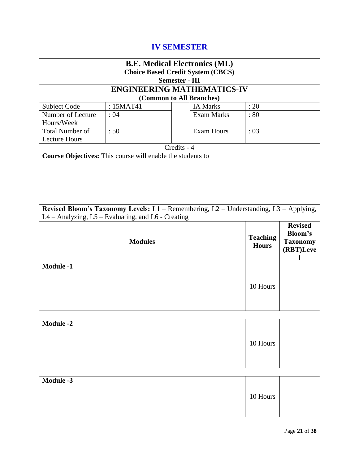# **IV SEMESTER**

| <b>B.E. Medical Electronics (ML)</b>                                                                                                        |           |             |                                   |                                                                       |  |  |  |
|---------------------------------------------------------------------------------------------------------------------------------------------|-----------|-------------|-----------------------------------|-----------------------------------------------------------------------|--|--|--|
| <b>Choice Based Credit System (CBCS)</b>                                                                                                    |           |             |                                   |                                                                       |  |  |  |
| <b>Semester - III</b>                                                                                                                       |           |             |                                   |                                                                       |  |  |  |
|                                                                                                                                             |           |             | <b>ENGINEERING MATHEMATICS-IV</b> |                                                                       |  |  |  |
| (Common to All Branches)                                                                                                                    |           |             |                                   |                                                                       |  |  |  |
| Subject Code                                                                                                                                | : 15MAT41 |             | <b>IA Marks</b>                   | : 20                                                                  |  |  |  |
| Number of Lecture<br>Hours/Week                                                                                                             | :04       |             | <b>Exam Marks</b>                 | :80                                                                   |  |  |  |
| <b>Total Number of</b>                                                                                                                      | :50       |             | <b>Exam Hours</b>                 | :03                                                                   |  |  |  |
| <b>Lecture Hours</b>                                                                                                                        |           | Credits - 4 |                                   |                                                                       |  |  |  |
| Course Objectives: This course will enable the students to                                                                                  |           |             |                                   |                                                                       |  |  |  |
|                                                                                                                                             |           |             |                                   |                                                                       |  |  |  |
| Revised Bloom's Taxonomy Levels: L1 - Remembering, L2 - Understanding, L3 - Applying,<br>L4 - Analyzing, L5 - Evaluating, and L6 - Creating |           |             |                                   |                                                                       |  |  |  |
| <b>Modules</b>                                                                                                                              |           |             | <b>Teaching</b><br><b>Hours</b>   | <b>Revised</b><br><b>Bloom's</b><br><b>Taxonomy</b><br>(RBT)Leve<br>L |  |  |  |
| <b>Module -1</b>                                                                                                                            |           |             |                                   | 10 Hours                                                              |  |  |  |
|                                                                                                                                             |           |             |                                   |                                                                       |  |  |  |
| <b>Module -2</b><br>10 Hours                                                                                                                |           |             |                                   |                                                                       |  |  |  |
|                                                                                                                                             |           |             |                                   |                                                                       |  |  |  |
| <b>Module -3</b>                                                                                                                            |           |             |                                   | 10 Hours                                                              |  |  |  |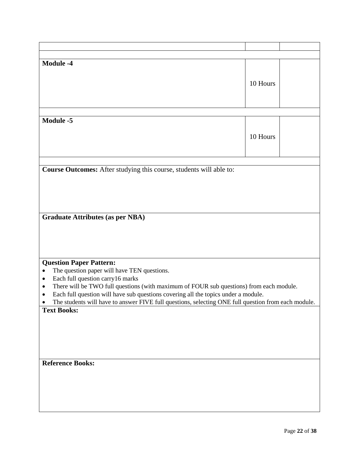| <b>Module -4</b>                                                                                         |          |
|----------------------------------------------------------------------------------------------------------|----------|
|                                                                                                          |          |
|                                                                                                          |          |
|                                                                                                          | 10 Hours |
|                                                                                                          |          |
|                                                                                                          |          |
|                                                                                                          |          |
|                                                                                                          |          |
| <b>Module -5</b>                                                                                         |          |
|                                                                                                          |          |
|                                                                                                          | 10 Hours |
|                                                                                                          |          |
|                                                                                                          |          |
|                                                                                                          |          |
|                                                                                                          |          |
| Course Outcomes: After studying this course, students will able to:                                      |          |
|                                                                                                          |          |
|                                                                                                          |          |
|                                                                                                          |          |
|                                                                                                          |          |
|                                                                                                          |          |
|                                                                                                          |          |
| <b>Graduate Attributes (as per NBA)</b>                                                                  |          |
|                                                                                                          |          |
|                                                                                                          |          |
|                                                                                                          |          |
|                                                                                                          |          |
|                                                                                                          |          |
| <b>Question Paper Pattern:</b>                                                                           |          |
| The question paper will have TEN questions.<br>$\bullet$                                                 |          |
| Each full question carry16 marks<br>$\bullet$                                                            |          |
| There will be TWO full questions (with maximum of FOUR sub questions) from each module.<br>٠             |          |
| Each full question will have sub questions covering all the topics under a module.                       |          |
| ٠<br>The students will have to answer FIVE full questions, selecting ONE full question from each module. |          |
|                                                                                                          |          |
| <b>Text Books:</b>                                                                                       |          |
|                                                                                                          |          |
|                                                                                                          |          |
|                                                                                                          |          |
|                                                                                                          |          |
|                                                                                                          |          |
|                                                                                                          |          |
| <b>Reference Books:</b>                                                                                  |          |
|                                                                                                          |          |
|                                                                                                          |          |
|                                                                                                          |          |
|                                                                                                          |          |
|                                                                                                          |          |
|                                                                                                          |          |
|                                                                                                          |          |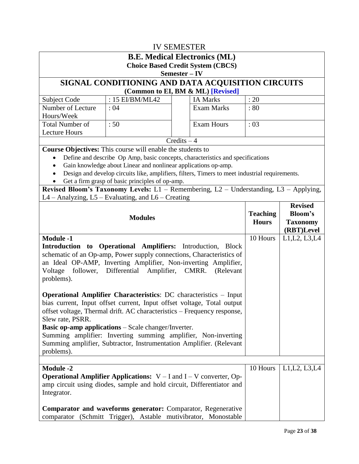|                                                                                                                                                                                                                                                                                                                                                                                                                                                                       |                                                                   | <b>IV SEMESTER</b>                                                                                                                                     |              |                                              |  |
|-----------------------------------------------------------------------------------------------------------------------------------------------------------------------------------------------------------------------------------------------------------------------------------------------------------------------------------------------------------------------------------------------------------------------------------------------------------------------|-------------------------------------------------------------------|--------------------------------------------------------------------------------------------------------------------------------------------------------|--------------|----------------------------------------------|--|
|                                                                                                                                                                                                                                                                                                                                                                                                                                                                       |                                                                   | <b>B.E. Medical Electronics (ML)</b>                                                                                                                   |              |                                              |  |
| <b>Choice Based Credit System (CBCS)</b>                                                                                                                                                                                                                                                                                                                                                                                                                              |                                                                   |                                                                                                                                                        |              |                                              |  |
|                                                                                                                                                                                                                                                                                                                                                                                                                                                                       |                                                                   | Semester-IV                                                                                                                                            |              |                                              |  |
|                                                                                                                                                                                                                                                                                                                                                                                                                                                                       |                                                                   | SIGNAL CONDITIONING AND DATA ACQUISITION CIRCUITS<br>(Common to EI, BM & ML) [Revised]                                                                 |              |                                              |  |
| Subject Code                                                                                                                                                                                                                                                                                                                                                                                                                                                          | : 15 EI/BM/ML42                                                   | <b>IA Marks</b>                                                                                                                                        | : 20         |                                              |  |
| Number of Lecture                                                                                                                                                                                                                                                                                                                                                                                                                                                     | :04                                                               | <b>Exam Marks</b>                                                                                                                                      | : 80         |                                              |  |
| Hours/Week                                                                                                                                                                                                                                                                                                                                                                                                                                                            |                                                                   |                                                                                                                                                        |              |                                              |  |
| <b>Total Number of</b>                                                                                                                                                                                                                                                                                                                                                                                                                                                | :50                                                               | <b>Exam Hours</b>                                                                                                                                      | : 03         |                                              |  |
| <b>Lecture Hours</b>                                                                                                                                                                                                                                                                                                                                                                                                                                                  |                                                                   |                                                                                                                                                        |              |                                              |  |
|                                                                                                                                                                                                                                                                                                                                                                                                                                                                       |                                                                   | Credits $-4$                                                                                                                                           |              |                                              |  |
|                                                                                                                                                                                                                                                                                                                                                                                                                                                                       | <b>Course Objectives:</b> This course will enable the students to |                                                                                                                                                        |              |                                              |  |
|                                                                                                                                                                                                                                                                                                                                                                                                                                                                       | Gain knowledge about Linear and nonlinear applications op-amp.    | Define and describe Op Amp, basic concepts, characteristics and specifications                                                                         |              |                                              |  |
|                                                                                                                                                                                                                                                                                                                                                                                                                                                                       |                                                                   | Design and develop circuits like, amplifiers, filters, Timers to meet industrial requirements.                                                         |              |                                              |  |
|                                                                                                                                                                                                                                                                                                                                                                                                                                                                       | Get a firm grasp of basic principles of op-amp.                   |                                                                                                                                                        |              |                                              |  |
|                                                                                                                                                                                                                                                                                                                                                                                                                                                                       |                                                                   | Revised Bloom's Taxonomy Levels: L1 - Remembering, L2 - Understanding, L3 - Applying,                                                                  |              |                                              |  |
|                                                                                                                                                                                                                                                                                                                                                                                                                                                                       | L4 - Analyzing, L5 - Evaluating, and L6 - Creating                |                                                                                                                                                        |              |                                              |  |
| <b>Modules</b>                                                                                                                                                                                                                                                                                                                                                                                                                                                        |                                                                   |                                                                                                                                                        |              | <b>Revised</b><br>Bloom's<br><b>Taxonomy</b> |  |
|                                                                                                                                                                                                                                                                                                                                                                                                                                                                       |                                                                   |                                                                                                                                                        | <b>Hours</b> | (RBT)Level                                   |  |
| <b>Module -1</b><br>Introduction to Operational Amplifiers: Introduction, Block<br>schematic of an Op-amp, Power supply connections, Characteristics of<br>an Ideal OP-AMP, Inverting Amplifier, Non-inverting Amplifier,<br>follower, Differential Amplifier, CMRR.<br>Voltage<br>(Relevant<br>problems).                                                                                                                                                            |                                                                   |                                                                                                                                                        |              | L1, L2, L3, L4                               |  |
| <b>Operational Amplifier Characteristics: DC</b> characteristics - Input<br>bias current, Input offset current, Input offset voltage, Total output<br>offset voltage, Thermal drift. AC characteristics - Frequency response,<br>Slew rate, PSRR.<br><b>Basic op-amp applications</b> – Scale changer/Inverter.<br>Summing amplifier: Inverting summing amplifier, Non-inverting<br>Summing amplifier, Subtractor, Instrumentation Amplifier. (Relevant<br>problems). |                                                                   |                                                                                                                                                        |              |                                              |  |
|                                                                                                                                                                                                                                                                                                                                                                                                                                                                       |                                                                   |                                                                                                                                                        |              |                                              |  |
| <b>Module -2</b><br>Integrator.                                                                                                                                                                                                                                                                                                                                                                                                                                       |                                                                   | <b>Operational Amplifier Applications:</b> $V - I$ and $I - V$ converter, Op-<br>amp circuit using diodes, sample and hold circuit, Differentiator and | 10 Hours     | L1, L2, L3, L4                               |  |
| <b>Comparator and waveforms generator:</b> Comparator, Regenerative<br>comparator (Schmitt Trigger), Astable mutivibrator, Monostable                                                                                                                                                                                                                                                                                                                                 |                                                                   |                                                                                                                                                        |              |                                              |  |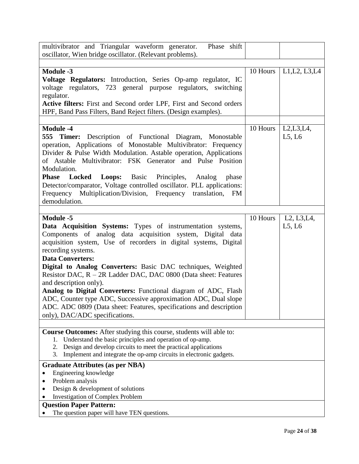| multivibrator and Triangular waveform generator.<br>Phase shift                                                                                                                                                                                                                                                                                                                                                                                                                                                                                                                                                                                                               |          |                                                              |
|-------------------------------------------------------------------------------------------------------------------------------------------------------------------------------------------------------------------------------------------------------------------------------------------------------------------------------------------------------------------------------------------------------------------------------------------------------------------------------------------------------------------------------------------------------------------------------------------------------------------------------------------------------------------------------|----------|--------------------------------------------------------------|
| oscillator, Wien bridge oscillator. (Relevant problems).                                                                                                                                                                                                                                                                                                                                                                                                                                                                                                                                                                                                                      |          |                                                              |
|                                                                                                                                                                                                                                                                                                                                                                                                                                                                                                                                                                                                                                                                               | 10 Hours |                                                              |
| <b>Module -3</b><br>Voltage Regulators: Introduction, Series Op-amp regulator, IC<br>voltage regulators, 723 general purpose regulators, switching<br>regulator.<br>Active filters: First and Second order LPF, First and Second orders<br>HPF, Band Pass Filters, Band Reject filters. (Design examples).                                                                                                                                                                                                                                                                                                                                                                    |          | L1, L2, L3, L4                                               |
|                                                                                                                                                                                                                                                                                                                                                                                                                                                                                                                                                                                                                                                                               |          |                                                              |
| <b>Module -4</b><br><b>555 Timer:</b> Description of Functional Diagram, Monostable<br>operation, Applications of Monostable Multivibrator: Frequency<br>Divider & Pulse Width Modulation. Astable operation, Applications<br>of Astable Multivibrator: FSK Generator and Pulse Position<br>Modulation.<br><b>Locked</b><br><b>Loops:</b> Basic Principles,<br><b>Phase</b><br>Analog<br>phase<br>Detector/comparator, Voltage controlled oscillator. PLL applications:<br>Frequency Multiplication/Division, Frequency translation, FM<br>demodulation.                                                                                                                      | 10 Hours | L2, L3, L4,<br>L5, L6                                        |
| <b>Module -5</b><br>Data Acquisition Systems: Types of instrumentation systems,<br>Components of analog data acquisition system, Digital data<br>acquisition system, Use of recorders in digital systems, Digital<br>recording systems.<br><b>Data Converters:</b><br>Digital to Analog Converters: Basic DAC techniques, Weighted<br>Resistor DAC, R – 2R Ladder DAC, DAC 0800 (Data sheet: Features<br>and description only).<br>Analog to Digital Converters: Functional diagram of ADC, Flash<br>ADC, Counter type ADC, Successive approximation ADC, Dual slope<br>ADC. ADC 0809 (Data sheet: Features, specifications and description<br>only), DAC/ADC specifications. | 10 Hours | L <sub>2</sub> , L <sub>3</sub> , L <sub>4</sub> ,<br>L5, L6 |
|                                                                                                                                                                                                                                                                                                                                                                                                                                                                                                                                                                                                                                                                               |          |                                                              |
| Course Outcomes: After studying this course, students will able to:<br>Understand the basic principles and operation of op-amp.<br>1.<br>Design and develop circuits to meet the practical applications<br>2.<br>Implement and integrate the op-amp circuits in electronic gadgets.<br>3.                                                                                                                                                                                                                                                                                                                                                                                     |          |                                                              |
| <b>Graduate Attributes (as per NBA)</b>                                                                                                                                                                                                                                                                                                                                                                                                                                                                                                                                                                                                                                       |          |                                                              |
| Engineering knowledge                                                                                                                                                                                                                                                                                                                                                                                                                                                                                                                                                                                                                                                         |          |                                                              |
| Problem analysis                                                                                                                                                                                                                                                                                                                                                                                                                                                                                                                                                                                                                                                              |          |                                                              |
| Design & development of solutions<br><b>Investigation of Complex Problem</b>                                                                                                                                                                                                                                                                                                                                                                                                                                                                                                                                                                                                  |          |                                                              |
| <b>Question Paper Pattern:</b>                                                                                                                                                                                                                                                                                                                                                                                                                                                                                                                                                                                                                                                |          |                                                              |
| The question paper will have TEN questions.                                                                                                                                                                                                                                                                                                                                                                                                                                                                                                                                                                                                                                   |          |                                                              |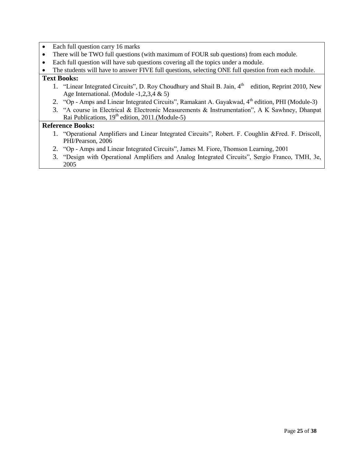- Each full question carry 16 marks
- There will be TWO full questions (with maximum of FOUR sub questions) from each module.
- Each full question will have sub questions covering all the topics under a module.

• The students will have to answer FIVE full questions, selecting ONE full question from each module.

### **Text Books:**

- 1. "Linear Integrated Circuits", D. Roy Choudhury and Shail B. Jain, 4<sup>th</sup> edition, Reprint 2010, New Age International. (Module -1,2,3,4 & 5)
- 2. "Op Amps and Linear Integrated Circuits", Ramakant A. Gayakwad, 4<sup>th</sup> edition, PHI (Module-3)
- 3. "A course in Electrical & Electronic Measurements & Instrumentation", A K Sawhney, Dhanpat Rai Publications,  $19<sup>th</sup>$  edition, 2011.(Module-5)

- 1. "Operational Amplifiers and Linear Integrated Circuits", Robert. F. Coughlin &Fred. F. Driscoll, PHI/Pearson, 2006
- 2. "Op Amps and Linear Integrated Circuits", James M. Fiore, Thomson Learning, 2001
- 3. "Design with Operational Amplifiers and Analog Integrated Circuits", Sergio Franco, TMH, 3e, 2005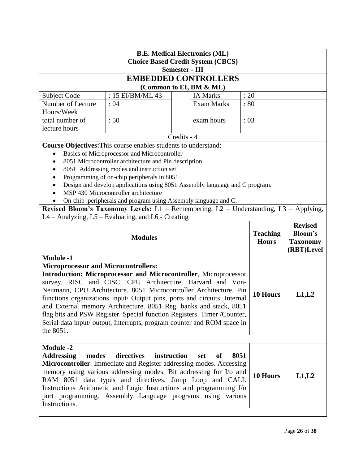| <b>B.E. Medical Electronics (ML)</b><br><b>Choice Based Credit System (CBCS)</b><br><b>Semester - III</b>                                                                                                                                                                                                                                                                                                                                                                                                                                                                                 |                                                                                                    |             |                             |                                 |                                                 |                |
|-------------------------------------------------------------------------------------------------------------------------------------------------------------------------------------------------------------------------------------------------------------------------------------------------------------------------------------------------------------------------------------------------------------------------------------------------------------------------------------------------------------------------------------------------------------------------------------------|----------------------------------------------------------------------------------------------------|-------------|-----------------------------|---------------------------------|-------------------------------------------------|----------------|
|                                                                                                                                                                                                                                                                                                                                                                                                                                                                                                                                                                                           |                                                                                                    |             | <b>EMBEDDED CONTROLLERS</b> |                                 |                                                 |                |
|                                                                                                                                                                                                                                                                                                                                                                                                                                                                                                                                                                                           |                                                                                                    |             | (Common to EI, BM & ML)     |                                 |                                                 |                |
| Subject Code                                                                                                                                                                                                                                                                                                                                                                                                                                                                                                                                                                              | : 15 EI/BM/ML 43                                                                                   |             | <b>IA Marks</b>             | : 20                            |                                                 |                |
| Number of Lecture                                                                                                                                                                                                                                                                                                                                                                                                                                                                                                                                                                         | : 04                                                                                               |             | <b>Exam Marks</b>           | :80                             |                                                 |                |
| Hours/Week                                                                                                                                                                                                                                                                                                                                                                                                                                                                                                                                                                                |                                                                                                    |             |                             |                                 |                                                 |                |
| total number of                                                                                                                                                                                                                                                                                                                                                                                                                                                                                                                                                                           | :50                                                                                                |             | exam hours                  | :03                             |                                                 |                |
| lecture hours                                                                                                                                                                                                                                                                                                                                                                                                                                                                                                                                                                             |                                                                                                    |             |                             |                                 |                                                 |                |
|                                                                                                                                                                                                                                                                                                                                                                                                                                                                                                                                                                                           |                                                                                                    | Credits - 4 |                             |                                 |                                                 |                |
|                                                                                                                                                                                                                                                                                                                                                                                                                                                                                                                                                                                           | Course Objectives: This course enables students to understand:                                     |             |                             |                                 |                                                 |                |
|                                                                                                                                                                                                                                                                                                                                                                                                                                                                                                                                                                                           | Basics of Microprocessor and Microcontroller                                                       |             |                             |                                 |                                                 |                |
| $\bullet$<br>$\bullet$                                                                                                                                                                                                                                                                                                                                                                                                                                                                                                                                                                    | 8051 Microcontroller architecture and Pin description<br>8051 Addressing modes and instruction set |             |                             |                                 |                                                 |                |
| $\bullet$                                                                                                                                                                                                                                                                                                                                                                                                                                                                                                                                                                                 | Programming of on-chip peripherals in 8051                                                         |             |                             |                                 |                                                 |                |
| $\bullet$                                                                                                                                                                                                                                                                                                                                                                                                                                                                                                                                                                                 | Design and develop applications using 8051 Assembly language and C program.                        |             |                             |                                 |                                                 |                |
|                                                                                                                                                                                                                                                                                                                                                                                                                                                                                                                                                                                           | MSP 430 Microcontroller architecture                                                               |             |                             |                                 |                                                 |                |
|                                                                                                                                                                                                                                                                                                                                                                                                                                                                                                                                                                                           | On-chip peripherals and program using Assembly language and C.                                     |             |                             |                                 |                                                 |                |
|                                                                                                                                                                                                                                                                                                                                                                                                                                                                                                                                                                                           | Revised Bloom's Taxonomy Levels: L1 - Remembering, L2 - Understanding, L3 - Applying,              |             |                             |                                 |                                                 |                |
|                                                                                                                                                                                                                                                                                                                                                                                                                                                                                                                                                                                           | L4 – Analyzing, L5 – Evaluating, and L6 - Creating                                                 |             |                             |                                 |                                                 |                |
|                                                                                                                                                                                                                                                                                                                                                                                                                                                                                                                                                                                           |                                                                                                    |             |                             |                                 |                                                 | <b>Revised</b> |
| <b>Modules</b>                                                                                                                                                                                                                                                                                                                                                                                                                                                                                                                                                                            |                                                                                                    |             |                             | <b>Teaching</b><br><b>Hours</b> | <b>Bloom's</b><br><b>Taxonomy</b><br>(RBT)Level |                |
| <b>Module -1</b><br><b>Microprocessor and Microcontrollers:</b><br>Introduction: Microprocessor and Microcontroller, Microprocessor<br>survey, RISC and CISC, CPU Architecture, Harvard and Von-<br>Neumann, CPU Architecture. 8051 Microcontroller Architecture. Pin<br>functions organizations Input/ Output pins, ports and circuits. Internal<br>and External memory Architecture. 8051 Reg. banks and stack, 8051<br>flag bits and PSW Register. Special function Registers. Timer /Counter,<br>Serial data input/ output, Interrupts, program counter and ROM space in<br>the 8051. |                                                                                                    |             |                             | 10 Hours                        | L1,L2                                           |                |
| <b>Module -2</b><br><b>Addressing</b><br>directives<br>instruction<br>modes<br>8051<br>set<br>of<br>Microcontroller. Immediate and Register addressing modes. Accessing<br>memory using various addressing modes. Bit addressing for I/o and<br>RAM 8051 data types and directives. Jump Loop and CALL<br>Instructions Arithmetic and Logic Instructions and programming I/o<br>port programming. Assembly Language programs using various<br>Instructions.                                                                                                                               |                                                                                                    |             | 10 Hours                    | L1,L2                           |                                                 |                |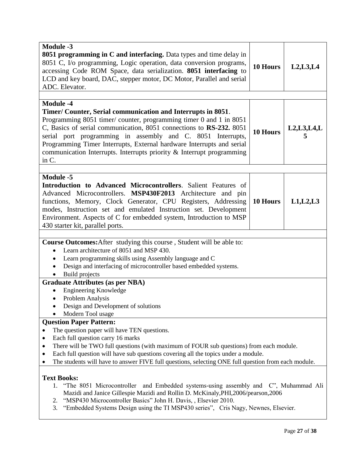| <b>Module -3</b>                                                                                                                                                                                                                                                                                                                                                                                                                                        |                 |               |  |  |
|---------------------------------------------------------------------------------------------------------------------------------------------------------------------------------------------------------------------------------------------------------------------------------------------------------------------------------------------------------------------------------------------------------------------------------------------------------|-----------------|---------------|--|--|
| <b>8051 programming in C and interfacing.</b> Data types and time delay in<br>8051 C, I/o programming, Logic operation, data conversion programs,<br>accessing Code ROM Space, data serialization. 8051 interfacing to<br>LCD and key board, DAC, stepper motor, DC Motor, Parallel and serial                                                                                                                                                          | 10 Hours        | L2, L3, L4    |  |  |
| ADC. Elevator.                                                                                                                                                                                                                                                                                                                                                                                                                                          |                 |               |  |  |
|                                                                                                                                                                                                                                                                                                                                                                                                                                                         |                 |               |  |  |
| <b>Module -4</b><br>Timer/ Counter, Serial communication and Interrupts in 8051.<br>Programming 8051 timer/ counter, programming timer 0 and 1 in 8051<br>C, Basics of serial communication, 8051 connections to RS-232. 8051<br>serial port programming in assembly and C. 8051 Interrupts,<br>Programming Timer Interrupts, External hardware Interrupts and serial<br>communication Interrupts. Interrupts priority & Interrupt programming<br>in C. | <b>10 Hours</b> | L2, L3, L4, L |  |  |
| <b>Module -5</b>                                                                                                                                                                                                                                                                                                                                                                                                                                        |                 |               |  |  |
| Introduction to Advanced Microcontrollers. Salient Features of<br>Advanced Microcontrollers. MSP430F2013 Architecture and pin<br>functions, Memory, Clock Generator, CPU Registers, Addressing<br>modes, Instruction set and emulated Instruction set. Development<br>Environment. Aspects of C for embedded system, Introduction to MSP<br>430 starter kit, parallel ports.                                                                            | 10 Hours        | L1, L2, L3    |  |  |
|                                                                                                                                                                                                                                                                                                                                                                                                                                                         |                 |               |  |  |
| <b>Course Outcomes:</b> After studying this course, Student will be able to:<br>Learn architecture of 8051 and MSP 430.                                                                                                                                                                                                                                                                                                                                 |                 |               |  |  |
| Learn programming skills using Assembly language and C                                                                                                                                                                                                                                                                                                                                                                                                  |                 |               |  |  |
| Design and interfacing of microcontroller based embedded systems.                                                                                                                                                                                                                                                                                                                                                                                       |                 |               |  |  |
| Build projects                                                                                                                                                                                                                                                                                                                                                                                                                                          |                 |               |  |  |
| <b>Graduate Attributes (as per NBA)</b>                                                                                                                                                                                                                                                                                                                                                                                                                 |                 |               |  |  |
| Engineering Knowledge<br>Problem Analysis<br>$\bullet$                                                                                                                                                                                                                                                                                                                                                                                                  |                 |               |  |  |
| Design and Development of solutions                                                                                                                                                                                                                                                                                                                                                                                                                     |                 |               |  |  |
| Modern Tool usage                                                                                                                                                                                                                                                                                                                                                                                                                                       |                 |               |  |  |
| <b>Question Paper Pattern:</b>                                                                                                                                                                                                                                                                                                                                                                                                                          |                 |               |  |  |
| The question paper will have TEN questions.                                                                                                                                                                                                                                                                                                                                                                                                             |                 |               |  |  |
| Each full question carry 16 marks                                                                                                                                                                                                                                                                                                                                                                                                                       |                 |               |  |  |
| There will be TWO full questions (with maximum of FOUR sub questions) from each module.                                                                                                                                                                                                                                                                                                                                                                 |                 |               |  |  |
| Each full question will have sub questions covering all the topics under a module.<br>$\bullet$<br>The students will have to answer FIVE full questions, selecting ONE full question from each module.                                                                                                                                                                                                                                                  |                 |               |  |  |
|                                                                                                                                                                                                                                                                                                                                                                                                                                                         |                 |               |  |  |
| <b>Text Books:</b>                                                                                                                                                                                                                                                                                                                                                                                                                                      |                 |               |  |  |
| "The 8051 Microcontroller and Embedded systems-using assembly and C", Muhammad Ali<br>1.<br>Mazidi and Janice Gillespie Mazidi and Rollin D. McKinaly, PHI, 2006/pearson, 2006                                                                                                                                                                                                                                                                          |                 |               |  |  |
| "MSP430 Microcontroller Basics" John H. Davis, , Elsevier 2010.<br>2.<br>"Embedded Systems Design using the TI MSP430 series", Cris Nagy, Newnes, Elsevier.<br>3.                                                                                                                                                                                                                                                                                       |                 |               |  |  |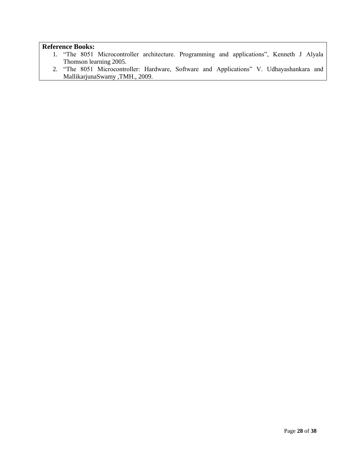- 1. "The 8051 Microcontroller architecture. Programming and applications", Kenneth J Alyala Thomson learning 2005.
- 2. "The 8051 Microcontroller: Hardware, Software and Applications" V. Udhayashankara and MallikarjunaSwamy ,TMH., 2009.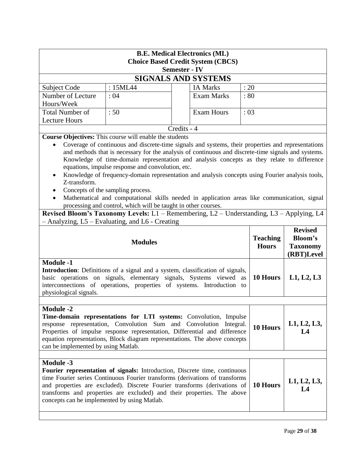| <b>B.E. Medical Electronics (ML)</b><br><b>Choice Based Credit System (CBCS)</b><br><b>Semester - IV</b>                                                                                                                                                                                                                                                                                                                                                                                                                                                                                                                                                                                                                                                                                                                                                                                                       |          |             |                            |      |                                 |                                                                   |
|----------------------------------------------------------------------------------------------------------------------------------------------------------------------------------------------------------------------------------------------------------------------------------------------------------------------------------------------------------------------------------------------------------------------------------------------------------------------------------------------------------------------------------------------------------------------------------------------------------------------------------------------------------------------------------------------------------------------------------------------------------------------------------------------------------------------------------------------------------------------------------------------------------------|----------|-------------|----------------------------|------|---------------------------------|-------------------------------------------------------------------|
|                                                                                                                                                                                                                                                                                                                                                                                                                                                                                                                                                                                                                                                                                                                                                                                                                                                                                                                |          |             | <b>SIGNALS AND SYSTEMS</b> |      |                                 |                                                                   |
| Subject Code                                                                                                                                                                                                                                                                                                                                                                                                                                                                                                                                                                                                                                                                                                                                                                                                                                                                                                   | : 15ML44 |             | <b>IA Marks</b>            | : 20 |                                 |                                                                   |
| Number of Lecture<br>Hours/Week                                                                                                                                                                                                                                                                                                                                                                                                                                                                                                                                                                                                                                                                                                                                                                                                                                                                                | :04      |             | <b>Exam Marks</b>          | : 80 |                                 |                                                                   |
| <b>Total Number of</b>                                                                                                                                                                                                                                                                                                                                                                                                                                                                                                                                                                                                                                                                                                                                                                                                                                                                                         | :50      |             | <b>Exam Hours</b>          | :03  |                                 |                                                                   |
| <b>Lecture Hours</b>                                                                                                                                                                                                                                                                                                                                                                                                                                                                                                                                                                                                                                                                                                                                                                                                                                                                                           |          | Credits - 4 |                            |      |                                 |                                                                   |
| Course Objectives: This course will enable the students<br>Coverage of continuous and discrete-time signals and systems, their properties and representations<br>$\bullet$<br>and methods that is necessary for the analysis of continuous and discrete-time signals and systems.<br>Knowledge of time-domain representation and analysis concepts as they relate to difference<br>equations, impulse response and convolution, etc.<br>Knowledge of frequency-domain representation and analysis concepts using Fourier analysis tools,<br>Z-transform.<br>Concepts of the sampling process.<br>Mathematical and computational skills needed in application areas like communication, signal<br>processing and control, which will be taught in other courses.<br>Revised Bloom's Taxonomy Levels: L1 - Remembering, L2 - Understanding, L3 - Applying, L4<br>- Analyzing, L5 – Evaluating, and L6 - Creating |          |             |                            |      |                                 |                                                                   |
| <b>Modules</b>                                                                                                                                                                                                                                                                                                                                                                                                                                                                                                                                                                                                                                                                                                                                                                                                                                                                                                 |          |             |                            |      | <b>Teaching</b><br><b>Hours</b> | <b>Revised</b><br><b>Bloom's</b><br><b>Taxonomy</b><br>(RBT)Level |
| <b>Module -1</b><br>Introduction: Definitions of a signal and a system, classification of signals,<br>basic operations on signals, elementary signals, Systems viewed<br>as<br>interconnections of operations, properties of systems. Introduction to<br>physiological signals.                                                                                                                                                                                                                                                                                                                                                                                                                                                                                                                                                                                                                                |          |             |                            |      | 10 Hours                        | L1, L2, L3                                                        |
| <b>Module -2</b><br>Time-domain representations for LTI systems: Convolution, Impulse<br>response representation, Convolution Sum and Convolution Integral.<br>10 Hours<br>Properties of impulse response representation, Differential and difference<br>L4<br>equation representations, Block diagram representations. The above concepts<br>can be implemented by using Matlab.                                                                                                                                                                                                                                                                                                                                                                                                                                                                                                                              |          |             |                            |      | L1, L2, L3,                     |                                                                   |
| <b>Module -3</b><br>Fourier representation of signals: Introduction, Discrete time, continuous<br>time Fourier series Continuous Fourier transforms (derivations of transforms<br>10 Hours<br>and properties are excluded). Discrete Fourier transforms (derivations of<br>$L_{\mathcal{A}}$<br>transforms and properties are excluded) and their properties. The above<br>concepts can be implemented by using Matlab.                                                                                                                                                                                                                                                                                                                                                                                                                                                                                        |          |             |                            |      | L1, L2, L3,                     |                                                                   |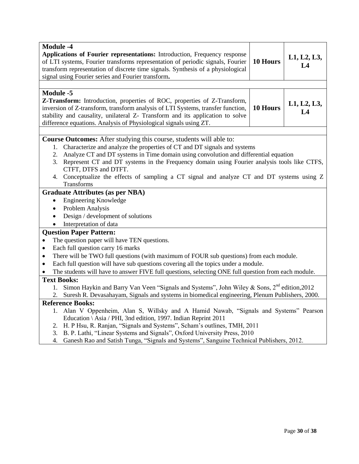| <b>Module -4</b>                                                                                                                                                  |          |             |  |  |
|-------------------------------------------------------------------------------------------------------------------------------------------------------------------|----------|-------------|--|--|
| Applications of Fourier representations: Introduction, Frequency response                                                                                         | 10 Hours | L1, L2, L3, |  |  |
| of LTI systems, Fourier transforms representation of periodic signals, Fourier<br>transform representation of discrete time signals. Synthesis of a physiological |          | L4          |  |  |
| signal using Fourier series and Fourier transform.                                                                                                                |          |             |  |  |
|                                                                                                                                                                   |          |             |  |  |
|                                                                                                                                                                   |          |             |  |  |
| <b>Module -5</b>                                                                                                                                                  |          |             |  |  |
| Z-Transform: Introduction, properties of ROC, properties of Z-Transform,                                                                                          | 10 Hours | L1, L2, L3, |  |  |
| inversion of Z-transform, transform analysis of LTI Systems, transfer function,                                                                                   |          | L4          |  |  |
| stability and causality, unilateral Z- Transform and its application to solve                                                                                     |          |             |  |  |
| difference equations. Analysis of Physiological signals using ZT.                                                                                                 |          |             |  |  |
|                                                                                                                                                                   |          |             |  |  |
| <b>Course Outcomes:</b> After studying this course, students will able to:                                                                                        |          |             |  |  |
| Characterize and analyze the properties of CT and DT signals and systems<br>1.                                                                                    |          |             |  |  |
| Analyze CT and DT systems in Time domain using convolution and differential equation<br>2.                                                                        |          |             |  |  |
| Represent CT and DT systems in the Frequency domain using Fourier analysis tools like CTFS,<br>3.                                                                 |          |             |  |  |
| CTFT, DTFS and DTFT.<br>4. Conceptualize the effects of sampling a CT signal and analyze CT and DT systems using Z                                                |          |             |  |  |
| Transforms                                                                                                                                                        |          |             |  |  |
|                                                                                                                                                                   |          |             |  |  |
| <b>Graduate Attributes (as per NBA)</b>                                                                                                                           |          |             |  |  |
| <b>Engineering Knowledge</b><br>$\bullet$                                                                                                                         |          |             |  |  |
| Problem Analysis<br>$\bullet$                                                                                                                                     |          |             |  |  |
| Design / development of solutions<br>٠                                                                                                                            |          |             |  |  |
| Interpretation of data                                                                                                                                            |          |             |  |  |
| <b>Question Paper Pattern:</b>                                                                                                                                    |          |             |  |  |
| The question paper will have TEN questions.<br>$\bullet$                                                                                                          |          |             |  |  |
| Each full question carry 16 marks<br>$\bullet$                                                                                                                    |          |             |  |  |
| There will be TWO full questions (with maximum of FOUR sub questions) from each module.<br>$\bullet$                                                              |          |             |  |  |
| Each full question will have sub questions covering all the topics under a module.<br>$\bullet$                                                                   |          |             |  |  |
| The students will have to answer FIVE full questions, selecting ONE full question from each module.<br>$\bullet$                                                  |          |             |  |  |
| <b>Text Books:</b>                                                                                                                                                |          |             |  |  |
| Simon Haykin and Barry Van Veen "Signals and Systems", John Wiley & Sons, 2 <sup>nd</sup> edition, 2012<br>1.                                                     |          |             |  |  |
| Suresh R. Devasahayam, Signals and systems in biomedical engineering, Plenum Publishers, 2000.<br>2.                                                              |          |             |  |  |
| <b>Reference Books:</b>                                                                                                                                           |          |             |  |  |
| 1. Alan V Oppenheim, Alan S, Willsky and A Hamid Nawab, "Signals and Systems" Pearson                                                                             |          |             |  |  |
| Education \ Asia / PHI, 3nd edition, 1997. Indian Reprint 2011                                                                                                    |          |             |  |  |
| H. P Hsu, R. Ranjan, "Signals and Systems", Scham's outlines, TMH, 2011<br>2.                                                                                     |          |             |  |  |
| B. P. Lathi, "Linear Systems and Signals", Oxford University Press, 2010<br>3.                                                                                    |          |             |  |  |
| Ganesh Rao and Satish Tunga, "Signals and Systems", Sanguine Technical Publishers, 2012.<br>4.                                                                    |          |             |  |  |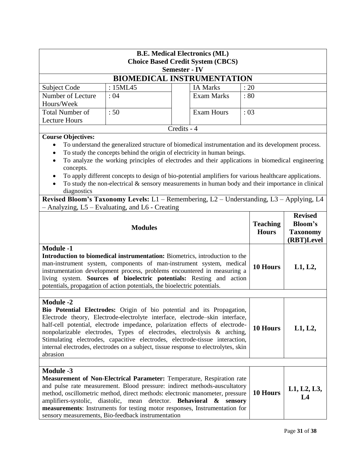| <b>B.E. Medical Electronics (ML)</b><br><b>Choice Based Credit System (CBCS)</b><br><b>Semester - IV</b>                                                                                                                                                                                                                                                                                                                                                                                                                 |                                                                                                                                                                                                                                                                                                                                                                                                                                                                                                     |             |                                 |                                                                   |                   |
|--------------------------------------------------------------------------------------------------------------------------------------------------------------------------------------------------------------------------------------------------------------------------------------------------------------------------------------------------------------------------------------------------------------------------------------------------------------------------------------------------------------------------|-----------------------------------------------------------------------------------------------------------------------------------------------------------------------------------------------------------------------------------------------------------------------------------------------------------------------------------------------------------------------------------------------------------------------------------------------------------------------------------------------------|-------------|---------------------------------|-------------------------------------------------------------------|-------------------|
|                                                                                                                                                                                                                                                                                                                                                                                                                                                                                                                          | <b>BIOMEDICAL INSTRUMENTATION</b>                                                                                                                                                                                                                                                                                                                                                                                                                                                                   |             |                                 |                                                                   |                   |
| Subject Code                                                                                                                                                                                                                                                                                                                                                                                                                                                                                                             | : 15ML45                                                                                                                                                                                                                                                                                                                                                                                                                                                                                            |             | <b>IA Marks</b>                 | : 20                                                              |                   |
| Number of Lecture<br>Hours/Week                                                                                                                                                                                                                                                                                                                                                                                                                                                                                          | :04                                                                                                                                                                                                                                                                                                                                                                                                                                                                                                 |             | <b>Exam Marks</b>               | : 80                                                              |                   |
| <b>Total Number of</b><br><b>Lecture Hours</b>                                                                                                                                                                                                                                                                                                                                                                                                                                                                           | :50                                                                                                                                                                                                                                                                                                                                                                                                                                                                                                 |             | <b>Exam Hours</b>               | :03                                                               |                   |
|                                                                                                                                                                                                                                                                                                                                                                                                                                                                                                                          |                                                                                                                                                                                                                                                                                                                                                                                                                                                                                                     | Credits - 4 |                                 |                                                                   |                   |
| <b>Course Objectives:</b><br>$\bullet$<br>$\bullet$<br>concepts.<br>diagnostics                                                                                                                                                                                                                                                                                                                                                                                                                                          | To understand the generalized structure of biomedical instrumentation and its development process.<br>To study the concepts behind the origin of electricity in human beings.<br>To analyze the working principles of electrodes and their applications in biomedical engineering<br>To apply different concepts to design of bio-potential amplifiers for various healthcare applications.<br>To study the non-electrical $\&$ sensory measurements in human body and their importance in clinical |             |                                 |                                                                   |                   |
|                                                                                                                                                                                                                                                                                                                                                                                                                                                                                                                          | Revised Bloom's Taxonomy Levels: L1 - Remembering, L2 - Understanding, L3 - Applying, L4<br>- Analyzing, L5 - Evaluating, and L6 - Creating                                                                                                                                                                                                                                                                                                                                                         |             |                                 |                                                                   |                   |
| <b>Modules</b>                                                                                                                                                                                                                                                                                                                                                                                                                                                                                                           |                                                                                                                                                                                                                                                                                                                                                                                                                                                                                                     |             | <b>Teaching</b><br><b>Hours</b> | <b>Revised</b><br><b>Bloom's</b><br><b>Taxonomy</b><br>(RBT)Level |                   |
| <b>Module -1</b><br>Introduction to biomedical instrumentation: Biometrics, introduction to the<br>man-instrument system, components of man-instrument system, medical<br>instrumentation development process, problems encountered in measuring a<br>living system. Sources of bioelectric potentials: Resting and action<br>potentials, propagation of action potentials, the bioelectric potentials.                                                                                                                  |                                                                                                                                                                                                                                                                                                                                                                                                                                                                                                     |             | 10 Hours                        | L1, L2,                                                           |                   |
|                                                                                                                                                                                                                                                                                                                                                                                                                                                                                                                          |                                                                                                                                                                                                                                                                                                                                                                                                                                                                                                     |             |                                 |                                                                   |                   |
| <b>Module -2</b><br>Bio Potential Electrodes: Origin of bio potential and its Propagation,<br>Electrode theory, Electrode-electrolyte interface, electrode-skin interface,<br>half-cell potential, electrode impedance, polarization effects of electrode-<br>nonpolarizable electrodes, Types of electrodes, electrolysis & arching,<br>Stimulating electrodes, capacitive electrodes, electrode-tissue interaction,<br>internal electrodes, electrodes on a subject, tissue response to electrolytes, skin<br>abrasion |                                                                                                                                                                                                                                                                                                                                                                                                                                                                                                     |             | 10 Hours                        | L1, L2,                                                           |                   |
|                                                                                                                                                                                                                                                                                                                                                                                                                                                                                                                          |                                                                                                                                                                                                                                                                                                                                                                                                                                                                                                     |             |                                 |                                                                   |                   |
| <b>Module -3</b>                                                                                                                                                                                                                                                                                                                                                                                                                                                                                                         | <b>Measurement of Non-Electrical Parameter:</b> Temperature, Respiration rate<br>and pulse rate measurement. Blood pressure: indirect methods-auscultatory<br>method, oscillometric method, direct methods: electronic manometer, pressure<br>amplifiers-systolic, diastolic, mean detector. Behavioral & sensory<br>measurements: Instruments for testing motor responses, Instrumentation for<br>sensory measurements, Bio-feedback instrumentation                                               |             |                                 | 10 Hours                                                          | L1, L2, L3,<br>L4 |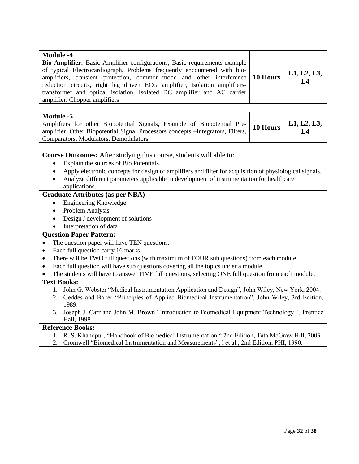| <b>Module -4</b><br>Bio Amplifier: Basic Amplifier configurations, Basic requirements-example<br>of typical Electrocardiograph, Problems frequently encountered with bio-<br>amplifiers, transient protection, common-mode and other interference<br>reduction circuits, right leg driven ECG amplifier, Isolation amplifiers-<br>transformer and optical isolation, Isolated DC amplifier and AC carrier<br>amplifier. Chopper amplifiers | 10 Hours                                                                                                                                                                                   | L1, L2, L3,<br>L4 |  |  |
|--------------------------------------------------------------------------------------------------------------------------------------------------------------------------------------------------------------------------------------------------------------------------------------------------------------------------------------------------------------------------------------------------------------------------------------------|--------------------------------------------------------------------------------------------------------------------------------------------------------------------------------------------|-------------------|--|--|
|                                                                                                                                                                                                                                                                                                                                                                                                                                            |                                                                                                                                                                                            |                   |  |  |
| <b>Module -5</b><br>Amplifiers for other Biopotential Signals, Example of Biopotential Pre-<br>amplifier, Other Biopotential Signal Processors concepts - Integrators, Filters,<br>Comparators, Modulators, Demodulators                                                                                                                                                                                                                   | 10 Hours                                                                                                                                                                                   | L1, L2, L3,<br>L4 |  |  |
|                                                                                                                                                                                                                                                                                                                                                                                                                                            |                                                                                                                                                                                            |                   |  |  |
| Course Outcomes: After studying this course, students will able to:<br>Explain the sources of Bio Potentials.<br>$\bullet$<br>Apply electronic concepts for design of amplifiers and filter for acquisition of physiological signals.<br>$\bullet$<br>Analyze different parameters applicable in development of instrumentation for healthcare<br>$\bullet$<br>applications.                                                               |                                                                                                                                                                                            |                   |  |  |
| <b>Graduate Attributes (as per NBA)</b>                                                                                                                                                                                                                                                                                                                                                                                                    |                                                                                                                                                                                            |                   |  |  |
| <b>Engineering Knowledge</b><br>$\bullet$                                                                                                                                                                                                                                                                                                                                                                                                  |                                                                                                                                                                                            |                   |  |  |
| Problem Analysis<br>$\bullet$                                                                                                                                                                                                                                                                                                                                                                                                              |                                                                                                                                                                                            |                   |  |  |
| Design / development of solutions<br>$\bullet$                                                                                                                                                                                                                                                                                                                                                                                             |                                                                                                                                                                                            |                   |  |  |
| Interpretation of data<br>$\bullet$                                                                                                                                                                                                                                                                                                                                                                                                        |                                                                                                                                                                                            |                   |  |  |
| <b>Question Paper Pattern:</b>                                                                                                                                                                                                                                                                                                                                                                                                             |                                                                                                                                                                                            |                   |  |  |
| The question paper will have TEN questions.<br>$\bullet$                                                                                                                                                                                                                                                                                                                                                                                   |                                                                                                                                                                                            |                   |  |  |
| Each full question carry 16 marks<br>$\bullet$                                                                                                                                                                                                                                                                                                                                                                                             |                                                                                                                                                                                            |                   |  |  |
| There will be TWO full questions (with maximum of FOUR sub questions) from each module.<br>$\bullet$                                                                                                                                                                                                                                                                                                                                       |                                                                                                                                                                                            |                   |  |  |
| Each full question will have sub questions covering all the topics under a module.<br>$\bullet$                                                                                                                                                                                                                                                                                                                                            |                                                                                                                                                                                            |                   |  |  |
| The students will have to answer FIVE full questions, selecting ONE full question from each module.                                                                                                                                                                                                                                                                                                                                        |                                                                                                                                                                                            |                   |  |  |
| <b>Text Books:</b>                                                                                                                                                                                                                                                                                                                                                                                                                         |                                                                                                                                                                                            |                   |  |  |
| 1. John G. Webster "Medical Instrumentation Application and Design", John Wiley, New York, 2004.<br>2. Geddes and Baker "Principles of Applied Biomedical Instrumentation", John Wiley, 3rd Edition,<br>1989.                                                                                                                                                                                                                              |                                                                                                                                                                                            |                   |  |  |
| Joseph J. Carr and John M. Brown "Introduction to Biomedical Equipment Technology", Prentice<br>3.<br>Hall, 1998                                                                                                                                                                                                                                                                                                                           |                                                                                                                                                                                            |                   |  |  |
| <b>Reference Books:</b>                                                                                                                                                                                                                                                                                                                                                                                                                    |                                                                                                                                                                                            |                   |  |  |
| 1.<br>2.                                                                                                                                                                                                                                                                                                                                                                                                                                   | R. S. Khandpur, "Handbook of Biomedical Instrumentation " 2nd Edition, Tata McGraw Hill, 2003<br>Cromwell "Biomedical Instrumentation and Measurements", 1 et al., 2nd Edition, PHI, 1990. |                   |  |  |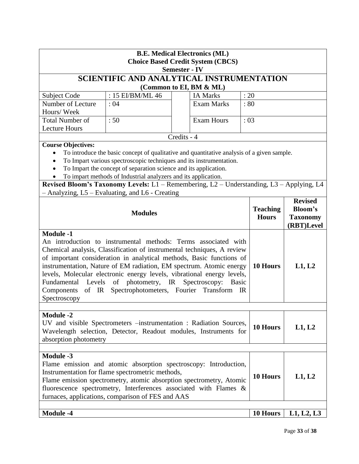| <b>B.E. Medical Electronics (ML)</b><br><b>Choice Based Credit System (CBCS)</b><br><b>Semester - IV</b>                                                                                                                                                                                                                                                                                                                                                                                                                                       |                                                                                                                                                                                                                                                                                                                                                                                                                                                        |             |                         |                                 |                                                                   |            |
|------------------------------------------------------------------------------------------------------------------------------------------------------------------------------------------------------------------------------------------------------------------------------------------------------------------------------------------------------------------------------------------------------------------------------------------------------------------------------------------------------------------------------------------------|--------------------------------------------------------------------------------------------------------------------------------------------------------------------------------------------------------------------------------------------------------------------------------------------------------------------------------------------------------------------------------------------------------------------------------------------------------|-------------|-------------------------|---------------------------------|-------------------------------------------------------------------|------------|
|                                                                                                                                                                                                                                                                                                                                                                                                                                                                                                                                                | SCIENTIFIC AND ANALYTICAL INSTRUMENTATION                                                                                                                                                                                                                                                                                                                                                                                                              |             |                         |                                 |                                                                   |            |
|                                                                                                                                                                                                                                                                                                                                                                                                                                                                                                                                                |                                                                                                                                                                                                                                                                                                                                                                                                                                                        |             | (Common to EI, BM & ML) |                                 |                                                                   |            |
| Subject Code                                                                                                                                                                                                                                                                                                                                                                                                                                                                                                                                   | : 15 EI/BM/ML 46                                                                                                                                                                                                                                                                                                                                                                                                                                       |             | <b>IA Marks</b>         | : 20                            |                                                                   |            |
| Number of Lecture<br>Hours/Week                                                                                                                                                                                                                                                                                                                                                                                                                                                                                                                | : 04                                                                                                                                                                                                                                                                                                                                                                                                                                                   |             | <b>Exam Marks</b>       | :80                             |                                                                   |            |
| <b>Total Number of</b><br><b>Lecture Hours</b>                                                                                                                                                                                                                                                                                                                                                                                                                                                                                                 | :50                                                                                                                                                                                                                                                                                                                                                                                                                                                    |             | Exam Hours              | : 03                            |                                                                   |            |
|                                                                                                                                                                                                                                                                                                                                                                                                                                                                                                                                                |                                                                                                                                                                                                                                                                                                                                                                                                                                                        | Credits - 4 |                         |                                 |                                                                   |            |
| <b>Course Objectives:</b>                                                                                                                                                                                                                                                                                                                                                                                                                                                                                                                      | To introduce the basic concept of qualitative and quantitative analysis of a given sample.<br>To Impart various spectroscopic techniques and its instrumentation.<br>To Impart the concept of separation science and its application.<br>To impart methods of Industrial analyzers and its application.<br>Revised Bloom's Taxonomy Levels: L1 - Remembering, L2 - Understanding, L3 - Applying, L4<br>- Analyzing, L5 - Evaluating, and L6 - Creating |             |                         |                                 |                                                                   |            |
| <b>Modules</b>                                                                                                                                                                                                                                                                                                                                                                                                                                                                                                                                 |                                                                                                                                                                                                                                                                                                                                                                                                                                                        |             |                         | <b>Teaching</b><br><b>Hours</b> | <b>Revised</b><br><b>Bloom's</b><br><b>Taxonomy</b><br>(RBT)Level |            |
| <b>Module -1</b><br>An introduction to instrumental methods: Terms associated with<br>Chemical analysis, Classification of instrumental techniques, A review<br>of important consideration in analytical methods, Basic functions of<br>instrumentation, Nature of EM radiation, EM spectrum. Atomic energy<br>levels, Molecular electronic energy levels, vibrational energy levels,<br>Fundamental Levels of photometry, IR Spectroscopy:<br><b>Basic</b><br>of IR Spectrophotometers, Fourier Transform<br>Components<br>IR<br>Spectroscopy |                                                                                                                                                                                                                                                                                                                                                                                                                                                        |             |                         | 10 Hours                        | L1, L2                                                            |            |
| <b>Module -2</b><br>absorption photometry                                                                                                                                                                                                                                                                                                                                                                                                                                                                                                      | UV and visible Spectrometers -instrumentation : Radiation Sources,<br>Wavelength selection, Detector, Readout modules, Instruments for                                                                                                                                                                                                                                                                                                                 |             |                         |                                 | 10 Hours                                                          | L1, L2     |
| <b>Module -3</b>                                                                                                                                                                                                                                                                                                                                                                                                                                                                                                                               | Flame emission and atomic absorption spectroscopy: Introduction,<br>Instrumentation for flame spectrometric methods,<br>Flame emission spectrometry, atomic absorption spectrometry, Atomic<br>fluorescence spectrometry, Interferences associated with Flames &<br>furnaces, applications, comparison of FES and AAS                                                                                                                                  |             |                         |                                 | 10 Hours                                                          | L1, L2     |
| <b>Module -4</b>                                                                                                                                                                                                                                                                                                                                                                                                                                                                                                                               |                                                                                                                                                                                                                                                                                                                                                                                                                                                        |             |                         |                                 | 10 Hours                                                          | L1, L2, L3 |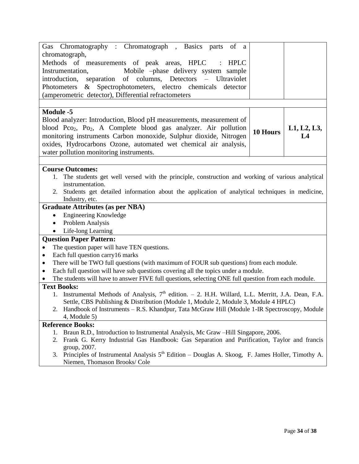| Gas Chromatography : Chromatograph, Basics parts<br>of a                                                             |          |             |  |  |  |
|----------------------------------------------------------------------------------------------------------------------|----------|-------------|--|--|--|
| chromatograph,                                                                                                       |          |             |  |  |  |
| Methods of measurements of peak areas, HPLC<br>HPLC                                                                  |          |             |  |  |  |
| Instrumentation,<br>Mobile -phase delivery system sample                                                             |          |             |  |  |  |
| introduction, separation of columns, Detectors – Ultraviolet                                                         |          |             |  |  |  |
| Photometers & Spectrophotometers, electro chemicals detector                                                         |          |             |  |  |  |
| (amperometric detector), Differential refractometers                                                                 |          |             |  |  |  |
|                                                                                                                      |          |             |  |  |  |
| <b>Module -5</b>                                                                                                     |          |             |  |  |  |
| Blood analyzer: Introduction, Blood pH measurements, measurement of                                                  |          |             |  |  |  |
| blood Pco <sub>2</sub> , Po <sub>2</sub> , A Complete blood gas analyzer. Air pollution                              |          | L1, L2, L3, |  |  |  |
| monitoring instruments Carbon monoxide, Sulphur dioxide, Nitrogen                                                    | 10 Hours | L4          |  |  |  |
| oxides, Hydrocarbons Ozone, automated wet chemical air analysis,                                                     |          |             |  |  |  |
| water pollution monitoring instruments.                                                                              |          |             |  |  |  |
|                                                                                                                      |          |             |  |  |  |
| <b>Course Outcomes:</b>                                                                                              |          |             |  |  |  |
| 1. The students get well versed with the principle, construction and working of various analytical                   |          |             |  |  |  |
| instrumentation.                                                                                                     |          |             |  |  |  |
| Students get detailed information about the application of analytical techniques in medicine,<br>2.                  |          |             |  |  |  |
| Industry, etc.                                                                                                       |          |             |  |  |  |
| <b>Graduate Attributes (as per NBA)</b>                                                                              |          |             |  |  |  |
| <b>Engineering Knowledge</b><br>$\bullet$                                                                            |          |             |  |  |  |
| Problem Analysis<br>$\bullet$                                                                                        |          |             |  |  |  |
| Life-long Learning                                                                                                   |          |             |  |  |  |
| <b>Question Paper Pattern:</b>                                                                                       |          |             |  |  |  |
| The question paper will have TEN questions.<br>$\bullet$                                                             |          |             |  |  |  |
| Each full question carry16 marks<br>$\bullet$                                                                        |          |             |  |  |  |
| There will be TWO full questions (with maximum of FOUR sub questions) from each module.<br>٠                         |          |             |  |  |  |
| Each full question will have sub questions covering all the topics under a module.<br>$\bullet$                      |          |             |  |  |  |
| The students will have to answer FIVE full questions, selecting ONE full question from each module.                  |          |             |  |  |  |
| <b>Text Books:</b>                                                                                                   |          |             |  |  |  |
| 1. Instrumental Methods of Analysis, 7 <sup>th</sup> edition. - 2. H.H. Willard, L.L. Merritt, J.A. Dean, F.A.       |          |             |  |  |  |
| Settle, CBS Publishing & Distribution (Module 1, Module 2, Module 3, Module 4 HPLC)                                  |          |             |  |  |  |
| 2. Handbook of Instruments – R.S. Khandpur, Tata McGraw Hill (Module 1-IR Spectroscopy, Module                       |          |             |  |  |  |
| $4$ , Module 5)                                                                                                      |          |             |  |  |  |
| <b>Reference Books:</b>                                                                                              |          |             |  |  |  |
| Braun R.D., Introduction to Instrumental Analysis, Mc Graw -Hill Singapore, 2006.<br>1.                              |          |             |  |  |  |
| Frank G. Kerry Industrial Gas Handbook: Gas Separation and Purification, Taylor and francis<br>2.                    |          |             |  |  |  |
| group, 2007.<br>3. Principles of Instrumental Analysis $5th$ Edition – Douglas A. Skoog, F. James Holler, Timothy A. |          |             |  |  |  |
| Niemen, Thomason Brooks/ Cole                                                                                        |          |             |  |  |  |
|                                                                                                                      |          |             |  |  |  |
|                                                                                                                      |          |             |  |  |  |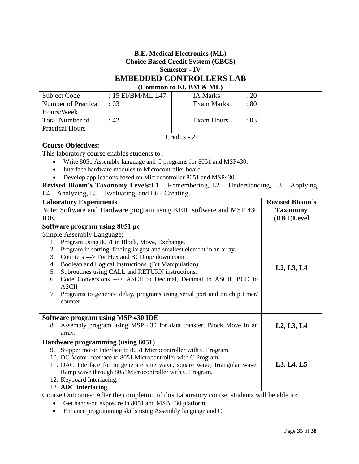| <b>Semester - IV</b><br><b>EMBEDDED CONTROLLERS LAB</b><br>(Common to EI, BM & ML)<br>: 15 EI/BM/ML L47<br>: 20<br><b>Subject Code</b><br><b>IA Marks</b><br>Number of Practical<br><b>Exam Marks</b><br>:03<br>: 80<br>Hours/Week<br><b>Total Number of</b><br>: 42<br><b>Exam Hours</b><br>: 03<br><b>Practical Hours</b><br>Credits - 2<br><b>Course Objectives:</b><br>This laboratory course enables students to:<br>Write 8051 Assembly language and C programs for 8051 and MSP430.<br>Interface hardware modules to Microcontroller board.<br>Develop applications based on Microcontroller 8051 and MSP430.<br>Revised Bloom's Taxonomy Levels: L1 - Remembering, L2 - Understanding, L3 - Applying,<br>L4 - Analyzing, L5 - Evaluating, and L6 - Creating<br><b>Revised Bloom's</b><br><b>Laboratory Experiments</b><br>Note: Software and Hardware program using KEIL software and MSP 430<br><b>Taxonomy</b><br>(RBT)Level<br>IDE.<br>Software program using 8051 µc<br>Simple Assembly Language;<br>Program using 8051 in Block, Move, Exchange.<br>1.<br>Program in sorting, finding largest and smallest element in an array.<br>2.<br>3. Counters ---> For Hex and BCD up/ down count.<br>4. Boolean and Logical Instructions. (Bit Manipulation).<br>L2, L3, L4<br>5. Subroutines using CALL and RETURN instructions.<br>Code Conversions ---> ASCII to Decimal, Decimal to ASCII, BCD to<br>6.<br><b>ASCII</b><br>Programs to generate delay, programs using serial port and on chip timer/<br>7.<br>counter.<br>Software program using MSP 430 IDE<br>Assembly program using MSP 430 for data transfer, Block Move in an<br>L2, L3, L4<br>8.<br>array.<br>Hardware programming (using 8051)<br>Stepper motor Interface to 8051 Microcontroller with C Program.<br>9.<br>10. DC Motor Interface to 8051 Microcontroller with C Program<br>11. DAC Interface for to generate sine wave, square wave, triangular wave,<br>L3, L4, L5<br>Ramp wave through 8051Microcontroller with C Program.<br>12. Keyboard Interfacing.<br>13. ADC Interfacing<br>Course Outcomes: After the completion of this Laboratory course, students will be able to:<br>Get hands-on exposure in 8051 and MSB 430 platform.<br>Enhance programming skills using Assembly language and C. | <b>B.E. Medical Electronics (ML)</b><br><b>Choice Based Credit System (CBCS)</b> |  |  |  |  |
|-------------------------------------------------------------------------------------------------------------------------------------------------------------------------------------------------------------------------------------------------------------------------------------------------------------------------------------------------------------------------------------------------------------------------------------------------------------------------------------------------------------------------------------------------------------------------------------------------------------------------------------------------------------------------------------------------------------------------------------------------------------------------------------------------------------------------------------------------------------------------------------------------------------------------------------------------------------------------------------------------------------------------------------------------------------------------------------------------------------------------------------------------------------------------------------------------------------------------------------------------------------------------------------------------------------------------------------------------------------------------------------------------------------------------------------------------------------------------------------------------------------------------------------------------------------------------------------------------------------------------------------------------------------------------------------------------------------------------------------------------------------------------------------------------------------------------------------------------------------------------------------------------------------------------------------------------------------------------------------------------------------------------------------------------------------------------------------------------------------------------------------------------------------------------------------------------------------------------------------------------------------------------------------|----------------------------------------------------------------------------------|--|--|--|--|
|                                                                                                                                                                                                                                                                                                                                                                                                                                                                                                                                                                                                                                                                                                                                                                                                                                                                                                                                                                                                                                                                                                                                                                                                                                                                                                                                                                                                                                                                                                                                                                                                                                                                                                                                                                                                                                                                                                                                                                                                                                                                                                                                                                                                                                                                                     |                                                                                  |  |  |  |  |
|                                                                                                                                                                                                                                                                                                                                                                                                                                                                                                                                                                                                                                                                                                                                                                                                                                                                                                                                                                                                                                                                                                                                                                                                                                                                                                                                                                                                                                                                                                                                                                                                                                                                                                                                                                                                                                                                                                                                                                                                                                                                                                                                                                                                                                                                                     |                                                                                  |  |  |  |  |
|                                                                                                                                                                                                                                                                                                                                                                                                                                                                                                                                                                                                                                                                                                                                                                                                                                                                                                                                                                                                                                                                                                                                                                                                                                                                                                                                                                                                                                                                                                                                                                                                                                                                                                                                                                                                                                                                                                                                                                                                                                                                                                                                                                                                                                                                                     |                                                                                  |  |  |  |  |
|                                                                                                                                                                                                                                                                                                                                                                                                                                                                                                                                                                                                                                                                                                                                                                                                                                                                                                                                                                                                                                                                                                                                                                                                                                                                                                                                                                                                                                                                                                                                                                                                                                                                                                                                                                                                                                                                                                                                                                                                                                                                                                                                                                                                                                                                                     |                                                                                  |  |  |  |  |
|                                                                                                                                                                                                                                                                                                                                                                                                                                                                                                                                                                                                                                                                                                                                                                                                                                                                                                                                                                                                                                                                                                                                                                                                                                                                                                                                                                                                                                                                                                                                                                                                                                                                                                                                                                                                                                                                                                                                                                                                                                                                                                                                                                                                                                                                                     |                                                                                  |  |  |  |  |
|                                                                                                                                                                                                                                                                                                                                                                                                                                                                                                                                                                                                                                                                                                                                                                                                                                                                                                                                                                                                                                                                                                                                                                                                                                                                                                                                                                                                                                                                                                                                                                                                                                                                                                                                                                                                                                                                                                                                                                                                                                                                                                                                                                                                                                                                                     |                                                                                  |  |  |  |  |
|                                                                                                                                                                                                                                                                                                                                                                                                                                                                                                                                                                                                                                                                                                                                                                                                                                                                                                                                                                                                                                                                                                                                                                                                                                                                                                                                                                                                                                                                                                                                                                                                                                                                                                                                                                                                                                                                                                                                                                                                                                                                                                                                                                                                                                                                                     |                                                                                  |  |  |  |  |
|                                                                                                                                                                                                                                                                                                                                                                                                                                                                                                                                                                                                                                                                                                                                                                                                                                                                                                                                                                                                                                                                                                                                                                                                                                                                                                                                                                                                                                                                                                                                                                                                                                                                                                                                                                                                                                                                                                                                                                                                                                                                                                                                                                                                                                                                                     |                                                                                  |  |  |  |  |
|                                                                                                                                                                                                                                                                                                                                                                                                                                                                                                                                                                                                                                                                                                                                                                                                                                                                                                                                                                                                                                                                                                                                                                                                                                                                                                                                                                                                                                                                                                                                                                                                                                                                                                                                                                                                                                                                                                                                                                                                                                                                                                                                                                                                                                                                                     |                                                                                  |  |  |  |  |
|                                                                                                                                                                                                                                                                                                                                                                                                                                                                                                                                                                                                                                                                                                                                                                                                                                                                                                                                                                                                                                                                                                                                                                                                                                                                                                                                                                                                                                                                                                                                                                                                                                                                                                                                                                                                                                                                                                                                                                                                                                                                                                                                                                                                                                                                                     |                                                                                  |  |  |  |  |
|                                                                                                                                                                                                                                                                                                                                                                                                                                                                                                                                                                                                                                                                                                                                                                                                                                                                                                                                                                                                                                                                                                                                                                                                                                                                                                                                                                                                                                                                                                                                                                                                                                                                                                                                                                                                                                                                                                                                                                                                                                                                                                                                                                                                                                                                                     |                                                                                  |  |  |  |  |
|                                                                                                                                                                                                                                                                                                                                                                                                                                                                                                                                                                                                                                                                                                                                                                                                                                                                                                                                                                                                                                                                                                                                                                                                                                                                                                                                                                                                                                                                                                                                                                                                                                                                                                                                                                                                                                                                                                                                                                                                                                                                                                                                                                                                                                                                                     |                                                                                  |  |  |  |  |
|                                                                                                                                                                                                                                                                                                                                                                                                                                                                                                                                                                                                                                                                                                                                                                                                                                                                                                                                                                                                                                                                                                                                                                                                                                                                                                                                                                                                                                                                                                                                                                                                                                                                                                                                                                                                                                                                                                                                                                                                                                                                                                                                                                                                                                                                                     |                                                                                  |  |  |  |  |
|                                                                                                                                                                                                                                                                                                                                                                                                                                                                                                                                                                                                                                                                                                                                                                                                                                                                                                                                                                                                                                                                                                                                                                                                                                                                                                                                                                                                                                                                                                                                                                                                                                                                                                                                                                                                                                                                                                                                                                                                                                                                                                                                                                                                                                                                                     |                                                                                  |  |  |  |  |
|                                                                                                                                                                                                                                                                                                                                                                                                                                                                                                                                                                                                                                                                                                                                                                                                                                                                                                                                                                                                                                                                                                                                                                                                                                                                                                                                                                                                                                                                                                                                                                                                                                                                                                                                                                                                                                                                                                                                                                                                                                                                                                                                                                                                                                                                                     |                                                                                  |  |  |  |  |
|                                                                                                                                                                                                                                                                                                                                                                                                                                                                                                                                                                                                                                                                                                                                                                                                                                                                                                                                                                                                                                                                                                                                                                                                                                                                                                                                                                                                                                                                                                                                                                                                                                                                                                                                                                                                                                                                                                                                                                                                                                                                                                                                                                                                                                                                                     |                                                                                  |  |  |  |  |
|                                                                                                                                                                                                                                                                                                                                                                                                                                                                                                                                                                                                                                                                                                                                                                                                                                                                                                                                                                                                                                                                                                                                                                                                                                                                                                                                                                                                                                                                                                                                                                                                                                                                                                                                                                                                                                                                                                                                                                                                                                                                                                                                                                                                                                                                                     |                                                                                  |  |  |  |  |
|                                                                                                                                                                                                                                                                                                                                                                                                                                                                                                                                                                                                                                                                                                                                                                                                                                                                                                                                                                                                                                                                                                                                                                                                                                                                                                                                                                                                                                                                                                                                                                                                                                                                                                                                                                                                                                                                                                                                                                                                                                                                                                                                                                                                                                                                                     |                                                                                  |  |  |  |  |
|                                                                                                                                                                                                                                                                                                                                                                                                                                                                                                                                                                                                                                                                                                                                                                                                                                                                                                                                                                                                                                                                                                                                                                                                                                                                                                                                                                                                                                                                                                                                                                                                                                                                                                                                                                                                                                                                                                                                                                                                                                                                                                                                                                                                                                                                                     |                                                                                  |  |  |  |  |
|                                                                                                                                                                                                                                                                                                                                                                                                                                                                                                                                                                                                                                                                                                                                                                                                                                                                                                                                                                                                                                                                                                                                                                                                                                                                                                                                                                                                                                                                                                                                                                                                                                                                                                                                                                                                                                                                                                                                                                                                                                                                                                                                                                                                                                                                                     |                                                                                  |  |  |  |  |
|                                                                                                                                                                                                                                                                                                                                                                                                                                                                                                                                                                                                                                                                                                                                                                                                                                                                                                                                                                                                                                                                                                                                                                                                                                                                                                                                                                                                                                                                                                                                                                                                                                                                                                                                                                                                                                                                                                                                                                                                                                                                                                                                                                                                                                                                                     |                                                                                  |  |  |  |  |
|                                                                                                                                                                                                                                                                                                                                                                                                                                                                                                                                                                                                                                                                                                                                                                                                                                                                                                                                                                                                                                                                                                                                                                                                                                                                                                                                                                                                                                                                                                                                                                                                                                                                                                                                                                                                                                                                                                                                                                                                                                                                                                                                                                                                                                                                                     |                                                                                  |  |  |  |  |
|                                                                                                                                                                                                                                                                                                                                                                                                                                                                                                                                                                                                                                                                                                                                                                                                                                                                                                                                                                                                                                                                                                                                                                                                                                                                                                                                                                                                                                                                                                                                                                                                                                                                                                                                                                                                                                                                                                                                                                                                                                                                                                                                                                                                                                                                                     |                                                                                  |  |  |  |  |
|                                                                                                                                                                                                                                                                                                                                                                                                                                                                                                                                                                                                                                                                                                                                                                                                                                                                                                                                                                                                                                                                                                                                                                                                                                                                                                                                                                                                                                                                                                                                                                                                                                                                                                                                                                                                                                                                                                                                                                                                                                                                                                                                                                                                                                                                                     |                                                                                  |  |  |  |  |
|                                                                                                                                                                                                                                                                                                                                                                                                                                                                                                                                                                                                                                                                                                                                                                                                                                                                                                                                                                                                                                                                                                                                                                                                                                                                                                                                                                                                                                                                                                                                                                                                                                                                                                                                                                                                                                                                                                                                                                                                                                                                                                                                                                                                                                                                                     |                                                                                  |  |  |  |  |
|                                                                                                                                                                                                                                                                                                                                                                                                                                                                                                                                                                                                                                                                                                                                                                                                                                                                                                                                                                                                                                                                                                                                                                                                                                                                                                                                                                                                                                                                                                                                                                                                                                                                                                                                                                                                                                                                                                                                                                                                                                                                                                                                                                                                                                                                                     |                                                                                  |  |  |  |  |
|                                                                                                                                                                                                                                                                                                                                                                                                                                                                                                                                                                                                                                                                                                                                                                                                                                                                                                                                                                                                                                                                                                                                                                                                                                                                                                                                                                                                                                                                                                                                                                                                                                                                                                                                                                                                                                                                                                                                                                                                                                                                                                                                                                                                                                                                                     |                                                                                  |  |  |  |  |
|                                                                                                                                                                                                                                                                                                                                                                                                                                                                                                                                                                                                                                                                                                                                                                                                                                                                                                                                                                                                                                                                                                                                                                                                                                                                                                                                                                                                                                                                                                                                                                                                                                                                                                                                                                                                                                                                                                                                                                                                                                                                                                                                                                                                                                                                                     |                                                                                  |  |  |  |  |
|                                                                                                                                                                                                                                                                                                                                                                                                                                                                                                                                                                                                                                                                                                                                                                                                                                                                                                                                                                                                                                                                                                                                                                                                                                                                                                                                                                                                                                                                                                                                                                                                                                                                                                                                                                                                                                                                                                                                                                                                                                                                                                                                                                                                                                                                                     |                                                                                  |  |  |  |  |
|                                                                                                                                                                                                                                                                                                                                                                                                                                                                                                                                                                                                                                                                                                                                                                                                                                                                                                                                                                                                                                                                                                                                                                                                                                                                                                                                                                                                                                                                                                                                                                                                                                                                                                                                                                                                                                                                                                                                                                                                                                                                                                                                                                                                                                                                                     |                                                                                  |  |  |  |  |
|                                                                                                                                                                                                                                                                                                                                                                                                                                                                                                                                                                                                                                                                                                                                                                                                                                                                                                                                                                                                                                                                                                                                                                                                                                                                                                                                                                                                                                                                                                                                                                                                                                                                                                                                                                                                                                                                                                                                                                                                                                                                                                                                                                                                                                                                                     |                                                                                  |  |  |  |  |
|                                                                                                                                                                                                                                                                                                                                                                                                                                                                                                                                                                                                                                                                                                                                                                                                                                                                                                                                                                                                                                                                                                                                                                                                                                                                                                                                                                                                                                                                                                                                                                                                                                                                                                                                                                                                                                                                                                                                                                                                                                                                                                                                                                                                                                                                                     |                                                                                  |  |  |  |  |
|                                                                                                                                                                                                                                                                                                                                                                                                                                                                                                                                                                                                                                                                                                                                                                                                                                                                                                                                                                                                                                                                                                                                                                                                                                                                                                                                                                                                                                                                                                                                                                                                                                                                                                                                                                                                                                                                                                                                                                                                                                                                                                                                                                                                                                                                                     |                                                                                  |  |  |  |  |
|                                                                                                                                                                                                                                                                                                                                                                                                                                                                                                                                                                                                                                                                                                                                                                                                                                                                                                                                                                                                                                                                                                                                                                                                                                                                                                                                                                                                                                                                                                                                                                                                                                                                                                                                                                                                                                                                                                                                                                                                                                                                                                                                                                                                                                                                                     |                                                                                  |  |  |  |  |
|                                                                                                                                                                                                                                                                                                                                                                                                                                                                                                                                                                                                                                                                                                                                                                                                                                                                                                                                                                                                                                                                                                                                                                                                                                                                                                                                                                                                                                                                                                                                                                                                                                                                                                                                                                                                                                                                                                                                                                                                                                                                                                                                                                                                                                                                                     |                                                                                  |  |  |  |  |
|                                                                                                                                                                                                                                                                                                                                                                                                                                                                                                                                                                                                                                                                                                                                                                                                                                                                                                                                                                                                                                                                                                                                                                                                                                                                                                                                                                                                                                                                                                                                                                                                                                                                                                                                                                                                                                                                                                                                                                                                                                                                                                                                                                                                                                                                                     |                                                                                  |  |  |  |  |
|                                                                                                                                                                                                                                                                                                                                                                                                                                                                                                                                                                                                                                                                                                                                                                                                                                                                                                                                                                                                                                                                                                                                                                                                                                                                                                                                                                                                                                                                                                                                                                                                                                                                                                                                                                                                                                                                                                                                                                                                                                                                                                                                                                                                                                                                                     |                                                                                  |  |  |  |  |
|                                                                                                                                                                                                                                                                                                                                                                                                                                                                                                                                                                                                                                                                                                                                                                                                                                                                                                                                                                                                                                                                                                                                                                                                                                                                                                                                                                                                                                                                                                                                                                                                                                                                                                                                                                                                                                                                                                                                                                                                                                                                                                                                                                                                                                                                                     |                                                                                  |  |  |  |  |
|                                                                                                                                                                                                                                                                                                                                                                                                                                                                                                                                                                                                                                                                                                                                                                                                                                                                                                                                                                                                                                                                                                                                                                                                                                                                                                                                                                                                                                                                                                                                                                                                                                                                                                                                                                                                                                                                                                                                                                                                                                                                                                                                                                                                                                                                                     |                                                                                  |  |  |  |  |
|                                                                                                                                                                                                                                                                                                                                                                                                                                                                                                                                                                                                                                                                                                                                                                                                                                                                                                                                                                                                                                                                                                                                                                                                                                                                                                                                                                                                                                                                                                                                                                                                                                                                                                                                                                                                                                                                                                                                                                                                                                                                                                                                                                                                                                                                                     |                                                                                  |  |  |  |  |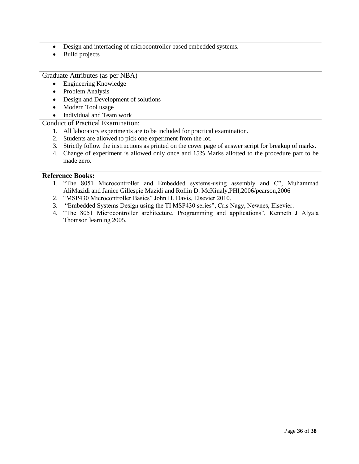- Design and interfacing of microcontroller based embedded systems.
- Build projects

Graduate Attributes (as per NBA)

- Engineering Knowledge
- Problem Analysis
- Design and Development of solutions
- Modern Tool usage
- Individual and Team work

### Conduct of Practical Examination:

- 1. All laboratory experiments are to be included for practical examination.
- 2. Students are allowed to pick one experiment from the lot.
- 3. Strictly follow the instructions as printed on the cover page of answer script for breakup of marks.
- 4. Change of experiment is allowed only once and 15% Marks allotted to the procedure part to be made zero.

- 1. "The 8051 Microcontroller and Embedded systems-using assembly and C", Muhammad AliMazidi and Janice Gillespie Mazidi and Rollin D. McKinaly,PHI,2006/pearson,2006
- 2. "MSP430 Microcontroller Basics" John H. Davis, Elsevier 2010.
- 3. "Embedded Systems Design using the TI MSP430 series", Cris Nagy, Newnes, Elsevier.
- 4. "The 8051 Microcontroller architecture. Programming and applications", Kenneth J Alyala Thomson learning 2005.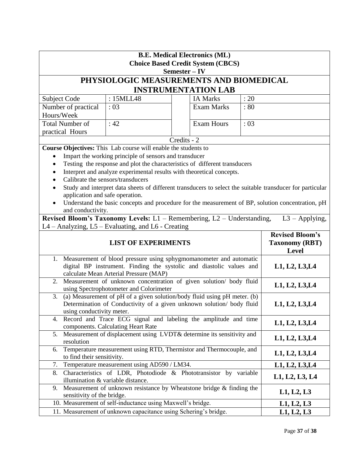| <b>B.E. Medical Electronics (ML)</b><br><b>Choice Based Credit System (CBCS)</b><br>Semester – IV                                                                                    |                                                                                                                               |                            |      |                                                                 |
|--------------------------------------------------------------------------------------------------------------------------------------------------------------------------------------|-------------------------------------------------------------------------------------------------------------------------------|----------------------------|------|-----------------------------------------------------------------|
|                                                                                                                                                                                      | PHYSIOLOGIC MEASUREMENTS AND BIOMEDICAL                                                                                       |                            |      |                                                                 |
|                                                                                                                                                                                      |                                                                                                                               | <b>INSTRUMENTATION LAB</b> |      |                                                                 |
| Subject Code                                                                                                                                                                         | : 15MLL48                                                                                                                     | <b>IA Marks</b>            | : 20 |                                                                 |
| Number of practical                                                                                                                                                                  | :03                                                                                                                           | <b>Exam Marks</b>          | :80  |                                                                 |
| Hours/Week                                                                                                                                                                           |                                                                                                                               |                            |      |                                                                 |
| <b>Total Number of</b>                                                                                                                                                               | :42                                                                                                                           | <b>Exam Hours</b>          | :03  |                                                                 |
| practical Hours                                                                                                                                                                      |                                                                                                                               |                            |      |                                                                 |
|                                                                                                                                                                                      | Course Objectives: This Lab course will enable the students to                                                                | Credits - 2                |      |                                                                 |
| ٠                                                                                                                                                                                    | Impart the working principle of sensors and transducer                                                                        |                            |      |                                                                 |
|                                                                                                                                                                                      | Testing the response and plot the characteristics of different transducers                                                    |                            |      |                                                                 |
|                                                                                                                                                                                      | Interpret and analyze experimental results with theoretical concepts.                                                         |                            |      |                                                                 |
|                                                                                                                                                                                      | Calibrate the sensors/transducers                                                                                             |                            |      |                                                                 |
|                                                                                                                                                                                      | Study and interpret data sheets of different transducers to select the suitable transducer for particular                     |                            |      |                                                                 |
| application and safe operation.                                                                                                                                                      |                                                                                                                               |                            |      |                                                                 |
| and conductivity.                                                                                                                                                                    | Understand the basic concepts and procedure for the measurement of BP, solution concentration, pH                             |                            |      |                                                                 |
|                                                                                                                                                                                      | Revised Bloom's Taxonomy Levels: $L1$ – Remembering, $L2$ – Understanding,                                                    |                            |      | $L3 - Applying,$                                                |
|                                                                                                                                                                                      | L4 – Analyzing, L5 – Evaluating, and L6 - Creating                                                                            |                            |      |                                                                 |
| <b>LIST OF EXPERIMENTS</b>                                                                                                                                                           |                                                                                                                               |                            |      | <b>Revised Bloom's</b><br><b>Taxonomy (RBT)</b><br><b>Level</b> |
| 1.                                                                                                                                                                                   | Measurement of blood pressure using sphygmomanometer and automatic                                                            |                            |      |                                                                 |
|                                                                                                                                                                                      | digital BP instrument. Finding the systolic and diastolic values and                                                          |                            |      | L1, L2, L3, L4                                                  |
| 2.                                                                                                                                                                                   | calculate Mean Arterial Pressure (MAP)<br>Measurement of unknown concentration of given solution/ body fluid                  |                            |      |                                                                 |
|                                                                                                                                                                                      | using Spectrophotometer and Colorimeter                                                                                       |                            |      | L1, L2, L3, L4                                                  |
| (a) Measurement of pH of a given solution/body fluid using pH meter. (b)<br>3.<br>Determination of Conductivity of a given unknown solution/ body fluid<br>using conductivity meter. |                                                                                                                               |                            |      | L1, L2, L3, L4                                                  |
|                                                                                                                                                                                      | 4. Record and Trace ECG signal and labeling the amplitude and time<br>components. Calculating Heart Rate                      |                            |      | L1, L2, L3, L4                                                  |
| 5.<br>resolution                                                                                                                                                                     | Measurement of displacement using LVDT& determine its sensitivity and                                                         |                            |      | L1, L2, L3, L4                                                  |
| 6.<br>to find their sensitivity.                                                                                                                                                     | Temperature measurement using RTD, Thermistor and Thermocouple, and                                                           |                            |      | L1, L2, L3, L4                                                  |
| 7.                                                                                                                                                                                   | Temperature measurement using AD590 / LM34.                                                                                   |                            |      | L1, L2, L3, L4                                                  |
| 8.                                                                                                                                                                                   | Characteristics of LDR, Photodiode & Phototransistor by variable<br>illumination & variable distance.                         |                            |      | L1, L2, L3, L4                                                  |
| 9.<br>sensitivity of the bridge.                                                                                                                                                     | Measurement of unknown resistance by Wheatstone bridge & finding the                                                          |                            |      | L1, L2, L3                                                      |
|                                                                                                                                                                                      |                                                                                                                               |                            |      |                                                                 |
|                                                                                                                                                                                      | 10. Measurement of self-inductance using Maxwell's bridge.<br>11. Measurement of unknown capacitance using Schering's bridge. |                            |      | L1, L2, L3                                                      |